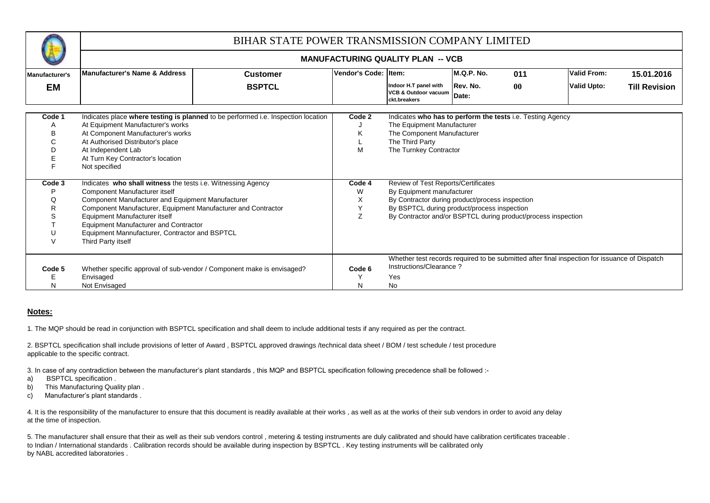

## **MANUFACTURING QUALITY PLAN -- VCB**

| Manufacturer's | Manufacturer's Name & Address                                 | <b>Customer</b>                                                                   | <b>Vendor's Code:</b> | Item:                                                                    | M.Q.P. No.        | 011       | <b>Valid From:</b>                                                                            | 15.01.2016           |
|----------------|---------------------------------------------------------------|-----------------------------------------------------------------------------------|-----------------------|--------------------------------------------------------------------------|-------------------|-----------|-----------------------------------------------------------------------------------------------|----------------------|
| ΕM             |                                                               | <b>BSPTCL</b>                                                                     |                       | Indoor H.T panel with<br><b>VCB &amp; Outdoor vacuum</b><br>ckt.breakers | Rev. No.<br>Date: | $\bf{00}$ | <b>Valid Upto:</b>                                                                            | <b>Till Revision</b> |
| Code 1         |                                                               | Indicates place where testing is planned to be performed i.e. Inspection location | Code 2                | Indicates who has to perform the tests i.e. Testing Agency               |                   |           |                                                                                               |                      |
| $\mathsf{A}$   | At Equipment Manufacturer's works                             |                                                                                   |                       | The Equipment Manufacturer                                               |                   |           |                                                                                               |                      |
| В              | At Component Manufacturer's works                             |                                                                                   | ĸ                     | The Component Manufacturer                                               |                   |           |                                                                                               |                      |
|                | At Authorised Distributor's place                             |                                                                                   |                       | The Third Party                                                          |                   |           |                                                                                               |                      |
|                | At Independent Lab                                            |                                                                                   | M                     | The Turnkey Contractor                                                   |                   |           |                                                                                               |                      |
|                | At Turn Key Contractor's location                             |                                                                                   |                       |                                                                          |                   |           |                                                                                               |                      |
|                | Not specified                                                 |                                                                                   |                       |                                                                          |                   |           |                                                                                               |                      |
|                |                                                               |                                                                                   |                       |                                                                          |                   |           |                                                                                               |                      |
| Code 3         | Indicates who shall witness the tests i.e. Witnessing Agency  |                                                                                   | Code 4                | Review of Test Reports/Certificates                                      |                   |           |                                                                                               |                      |
|                | Component Manufacturer itself                                 |                                                                                   | W                     | By Equipment manufacturer                                                |                   |           |                                                                                               |                      |
|                | Component Manufacturer and Equipment Manufacturer             |                                                                                   | X                     | By Contractor during product/process inspection                          |                   |           |                                                                                               |                      |
| R              | Component Manufacturer, Equipment Manufacturer and Contractor |                                                                                   |                       | By BSPTCL during product/process inspection                              |                   |           |                                                                                               |                      |
|                | Equipment Manufacturer itself                                 |                                                                                   | 7                     | By Contractor and/or BSPTCL during product/process inspection            |                   |           |                                                                                               |                      |
|                | <b>Equipment Manufacturer and Contractor</b>                  |                                                                                   |                       |                                                                          |                   |           |                                                                                               |                      |
|                | Equipment Mannufacturer, Contractor and BSPTCL                |                                                                                   |                       |                                                                          |                   |           |                                                                                               |                      |
|                | Third Party itself                                            |                                                                                   |                       |                                                                          |                   |           |                                                                                               |                      |
|                |                                                               |                                                                                   |                       |                                                                          |                   |           | Whether test records required to be submitted after final inspection for issuance of Dispatch |                      |
| Code 5         |                                                               |                                                                                   | Code 6                | Instructions/Clearance?                                                  |                   |           |                                                                                               |                      |
|                |                                                               | Whether specific approval of sub-vendor / Component make is envisaged?            |                       |                                                                          |                   |           |                                                                                               |                      |
|                | Envisaged                                                     |                                                                                   |                       | Yes                                                                      |                   |           |                                                                                               |                      |
| N              | Not Envisaged                                                 |                                                                                   |                       | No.                                                                      |                   |           |                                                                                               |                      |

## **Notes:**

1. The MQP should be read in conjunction with BSPTCL specification and shall deem to include additional tests if any required as per the contract.

2. BSPTCL specification shall include provisions of letter of Award , BSPTCL approved drawings /technical data sheet / BOM / test schedule / test procedure applicable to the specific contract.

3. In case of any contradiction between the manufacturer's plant standards , this MQP and BSPTCL specification following precedence shall be followed :-

- a) BSPTCL specification .
- b) This Manufacturing Quality plan .
- c) Manufacturer's plant standards .

4. It is the responsibility of the manufacturer to ensure that this document is readily available at their works , as well as at the works of their sub vendors in order to avoid any delay at the time of inspection.

5. The manufacturer shall ensure that their as well as their sub vendors control , metering & testing instruments are duly calibrated and should have calibration certificates traceable . to Indian / International standards . Calibration records should be available during inspection by BSPTCL . Key testing instruments will be calibrated only by NABL accredited laboratories .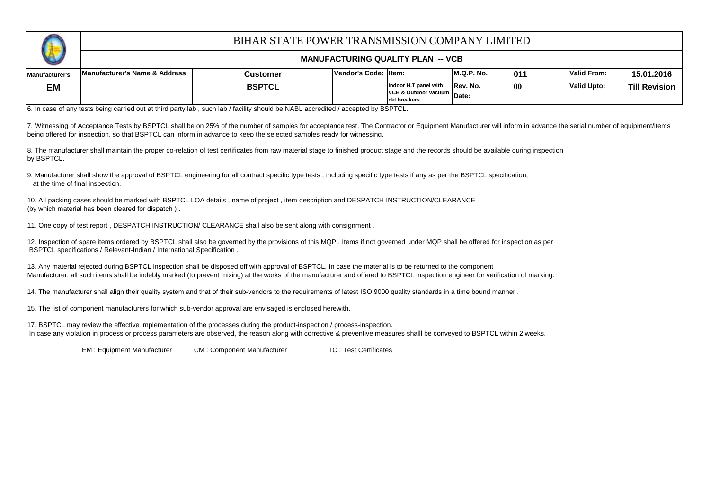

## **MANUFACTURING QUALITY PLAN -- VCB**

| ___            |                               |          |                       |                                                                     |             |                   |                    |                      |
|----------------|-------------------------------|----------|-----------------------|---------------------------------------------------------------------|-------------|-------------------|--------------------|----------------------|
| Manufacturer's | Manufacturer's Name & Address | Customer | Vendor's Code: Iltem: |                                                                     | IM.Q.P. No. | 011               | Valid From:        | 15.01.2016           |
| <b>EM</b>      |                               | BSPTCL   |                       | Indoor H.T panel with<br>VCB & Outdoor vacuum Date:<br>ckt.breakers | Rev. No.    | $\boldsymbol{00}$ | <b>Valid Upto:</b> | <b>Till Revision</b> |

6. In case of any tests being carried out at third party lab , such lab / facility should be NABL accredited / accepted by BSPTCL.

7. Witnessing of Acceptance Tests by BSPTCL shall be on 25% of the number of samples for acceptance test. The Contractor or Equipment Manufacturer will inform in advance the serial number of equipment/items being offered for inspection, so that BSPTCL can inform in advance to keep the selected samples ready for witnessing.

8. The manufacturer shall maintain the proper co-relation of test certificates from raw material stage to finished product stage and the records should be available during inspection. by BSPTCL.

9. Manufacturer shall show the approval of BSPTCL engineering for all contract specific type tests , including specific type tests if any as per the BSPTCL specification, at the time of final inspection.

(by which material has been cleared for dispatch ) . 10. All packing cases should be marked with BSPTCL LOA details , name of project , item description and DESPATCH INSTRUCTION/CLEARANCE

11. One copy of test report , DESPATCH INSTRUCTION/ CLEARANCE shall also be sent along with consignment .

12. Inspection of spare items ordered by BSPTCL shall also be governed by the provisions of this MQP . Items if not governed under MQP shall be offered for inspection as per BSPTCL specifications / Relevant-Indian / International Specification .

13. Any material rejected during BSPTCL inspection shall be disposed off with approval of BSPTCL. In case the material is to be returned to the component Manufacturer, all such items shall be indebly marked (to prevent mixing) at the works of the manufacturer and offered to BSPTCL inspection engineer for verification of marking.

14. The manufacturer shall align their quality system and that of their sub-vendors to the requirements of latest ISO 9000 quality standards in a time bound manner .

15. The list of component manufacturers for which sub-vendor approval are envisaged is enclosed herewith.

17. BSPTCL may review the effective implementation of the processes during the product-inspection / process-inspection. In case any violation in process or process parameters are observed, the reason along with corrective & preventive measures shalll be conveyed to BSPTCL within 2 weeks.

EM : Equipment Manufacturer CM : Component Manufacturer TC : Test Certificates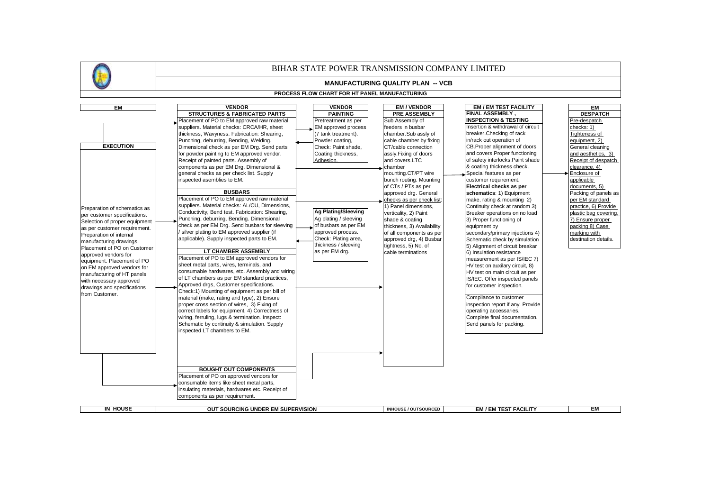



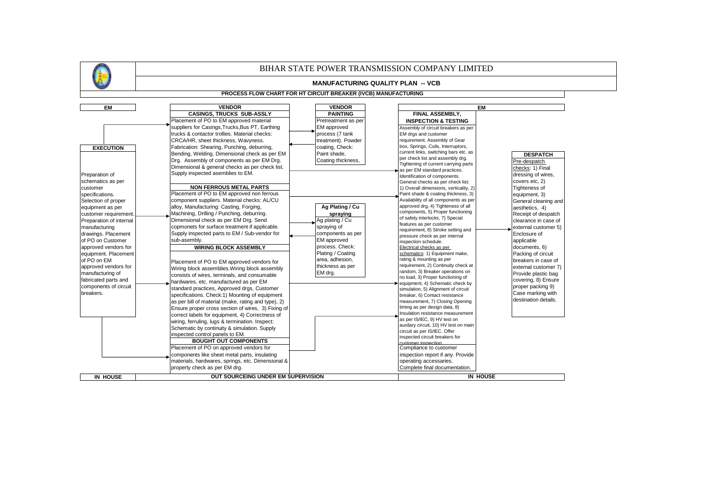|                         |                                                     |                                                                | BIHAR STATE POWER TRANSMISSION COMPANY LIMITED                        |                      |
|-------------------------|-----------------------------------------------------|----------------------------------------------------------------|-----------------------------------------------------------------------|----------------------|
|                         |                                                     | <b>MANUFACTURING QUALITY PLAN -- VCB</b>                       |                                                                       |                      |
|                         |                                                     | PROCESS FLOW CHART FOR HT CIRCUIT BREAKER (IVCB) MANUFACTURING |                                                                       |                      |
| <b>EM</b>               | <b>VENDOR</b>                                       | <b>VENDOR</b>                                                  | <b>EM</b>                                                             |                      |
|                         | <b>CASINGS, TRUCKS SUB-ASSLY</b>                    | <b>PAINTING</b>                                                | FINAL ASSEMBLY.                                                       |                      |
|                         | Placement of PO to EM approved material             | Pretreatment as per                                            | <b>INSPECTION &amp; TESTING</b>                                       |                      |
|                         | suppliers for Casings, Trucks, Bus PT, Earthing     | EM approved                                                    | Assembly of circuit breakers as per                                   |                      |
|                         | trucks & contactor trollies. Material checks:       | process (7 tank                                                | EM drgs and customer                                                  |                      |
|                         | CRCA/HR, sheet thickness, Wavyness.                 | treatment). Powder                                             | requirement. Assembly of Gear                                         |                      |
| <b>EXECUTION</b>        | Fabrication: Shearing, Punching, deburring,         | coating, Check:                                                | box, Springs, Coils, Interruptors,                                    |                      |
|                         | Bending, Welding. Dimensional check as per EM       | Paint shade,                                                   | current links, switching bars etc. as                                 | <b>DESPATCH</b>      |
|                         | Drg. Assembly of components as per EM Drg.          | Coating thickness,                                             | per check list and assembly drg.                                      | Pre-despatch         |
|                         | Dimensional & general checks as per check list.     |                                                                | Tightening of current carrying parts                                  | checks: 1) Final     |
| Preparation of          | Supply inspected asemblies to EM.                   |                                                                | as per EM standard practices.<br>Identification of components.        | dressing of wires,   |
| schematics as per       |                                                     |                                                                | General checks as per check list:                                     | covers etc, 2)       |
| customer                | <b>NON FERROUS METAL PARTS</b>                      |                                                                | 1) Overall dimensions, verticality, 2)                                | Tighteness of        |
| specifications.         | Placement of PO to EM approved non ferrous          |                                                                | Paint shade & coating thickness, 3)                                   | equipment, 3)        |
| Selection of proper     | component suppliers. Material checks: AL/CU         |                                                                | Availability of all components as per                                 | General cleaning and |
| equipment as per        | alloy, Manufacturing: Casting, Forging,             | Ag Plating / Cu                                                | approved drg, 4) Tighteness of all                                    |                      |
|                         | Machining, Drilling / Punching, deburring.          |                                                                | components, 5) Proper functioning                                     | aesthetics, 4)       |
| customer requirement    | Dimensional check as per EM Drg. Send               | spraying<br>Ag plating / Cu                                    | of safety interlocks, 7) Special                                      | Receipt of despatch  |
| Preparation of internal | copmonets for surface treatment if applicable.      |                                                                | features as per customer                                              | clearance in case of |
| manufacturing           |                                                     | spraying of                                                    | requirement, 8) Stroke setting and                                    | external customer 5) |
| drawings. Placement     | Supply inspected parts to EM / Sub-vendor for       | components as per                                              | pressure check as per internal                                        | Enclosure of         |
| of PO on Customer       | sub-asembly.                                        | <b>EM</b> approved                                             | inspection schedule.                                                  | applicable           |
| approved vendors for    | <b>WIRING BLOCK ASSEMBLY</b>                        | process. Check:                                                | Electrical checks as per                                              | documents, 6)        |
| equipment. Placement    |                                                     | Plating / Coating                                              | schematics: 1) Equipment make,                                        | Packing of circuit   |
| of PO on EM             | Placement of PO to EM approved vendors for          | area, adhesion,                                                | rating & mounting as per                                              | breakers in case of  |
| approved vendors for    | Wiring block assemblies. Wiring block assembly      | thickness as per                                               | requirement, 2) Continuity check at                                   | external customer 7) |
| manufacturing of        | consists of wires, terminals, and consumable        | EM drg.                                                        | random, 3) Breaker operations on                                      | Provide plastic bag  |
| fabricated parts and    | hardwares, etc. manufactured as per EM              |                                                                | no load, 3) Proper functioning of<br>equipment, 4) Schematic check by | covering, 8) Ensure  |
| components of circuit   | standard practices, Approved drgs, Customer         |                                                                | simulation, 5) Alignment of circuit                                   | proper packing 9)    |
| breakers.               | specifications. Check:1) Mounting of equipment      |                                                                | breakar, 6) Contact resistance                                        | Case marking with    |
|                         | as per bill of material (make, rating and type), 2) |                                                                | measurement, 7) Closing Opening                                       | destination details. |
|                         | Ensure proper cross section of wires, 3) Fixing of  |                                                                | timing as per design data, 8)                                         |                      |
|                         | correct labels for equipment, 4) Correctness of     |                                                                | nsulation resistance measurement                                      |                      |
|                         |                                                     |                                                                | as per IS/IEC, 9) HV test on                                          |                      |
|                         | wiring, ferruling, lugs & termination. Inspect:     |                                                                | auxilary circuit, 10) HV test on main                                 |                      |
|                         | Schematic by continuity & simulation. Supply        |                                                                | circuit as per IS/IEC. Offer                                          |                      |
|                         | inspected control panels to EM.                     |                                                                | inspected circuit breakers for                                        |                      |
|                         | <b>BOUGHT OUT COMPONENTS</b>                        |                                                                | customer inspection                                                   |                      |
|                         | Placement of PO on approved vendors for             |                                                                | Compliance to customer                                                |                      |
|                         | components like sheet metal parts, insulating       |                                                                | inspection report if any. Provide                                     |                      |
|                         | materials, hardwares, springs, etc. Dimensional &   |                                                                | operating accessaries.                                                |                      |
|                         | property check as per EM drg.                       |                                                                | Complete final documentation.                                         |                      |
| <b>IN HOUSE</b>         | OUT SOURCEING UNDER EM SUPERVISION                  |                                                                | <b>IN HOUSE</b>                                                       |                      |
|                         |                                                     |                                                                |                                                                       |                      |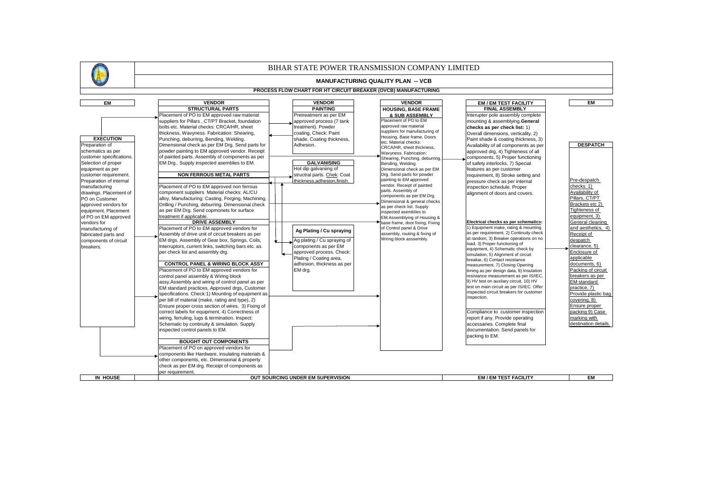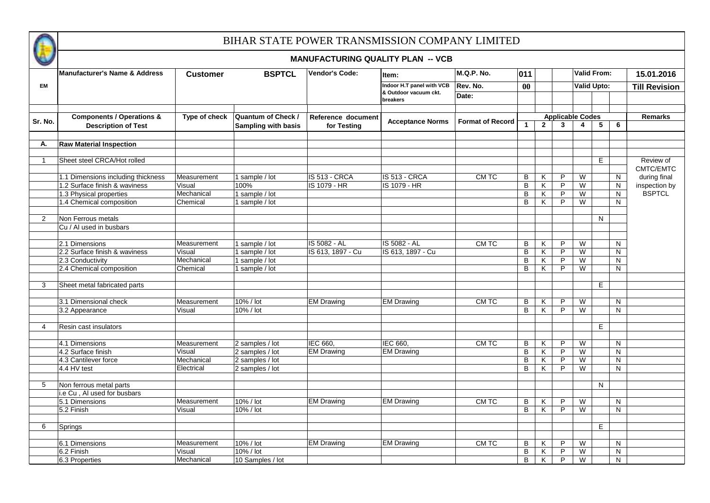

|                |                                          |                 |                           | <b>MANUFACTURING QUALITY PLAN -- VCB</b> |                                   |                         |                |                |                         |                |                    |                      |
|----------------|------------------------------------------|-----------------|---------------------------|------------------------------------------|-----------------------------------|-------------------------|----------------|----------------|-------------------------|----------------|--------------------|----------------------|
|                | <b>Manufacturer's Name &amp; Address</b> | <b>Customer</b> | <b>BSPTCL</b>             | <b>Vendor's Code:</b>                    | Item:                             | M.Q.P. No.              | 011            |                |                         |                | <b>Valid From:</b> | 15.01.2016           |
| <b>EM</b>      |                                          |                 |                           |                                          | Indoor H.T panel with VCB         | Rev. No.                | $\bf{00}$      |                |                         |                | <b>Valid Upto:</b> | <b>Till Revision</b> |
|                |                                          |                 |                           |                                          | & Outdoor vacuum ckt.<br>breakers | Date:                   |                |                |                         |                |                    |                      |
|                | <b>Components / Operations &amp;</b>     | Type of check   | <b>Quantum of Check /</b> | Reference document                       |                                   |                         |                |                | <b>Applicable Codes</b> |                |                    | <b>Remarks</b>       |
| Sr. No.        | <b>Description of Test</b>               |                 | Sampling with basis       | for Testing                              | <b>Acceptance Norms</b>           | <b>Format of Record</b> | $\mathbf{1}$   | $\overline{2}$ | $\mathbf{3}$            | $\overline{4}$ | 6<br>5             |                      |
|                |                                          |                 |                           |                                          |                                   |                         |                |                |                         |                |                    |                      |
| А.             | <b>Raw Material Inspection</b>           |                 |                           |                                          |                                   |                         |                |                |                         |                |                    |                      |
| $\overline{1}$ | Sheet steel CRCA/Hot rolled              |                 |                           |                                          |                                   |                         |                |                |                         |                | E                  | Review of            |
|                |                                          |                 |                           |                                          |                                   |                         |                |                |                         |                |                    | CMTC/EMTC            |
|                | 1.1 Dimensions including thickness       | Measurement     | 1 sample / lot            | IS 513 - CRCA                            | <b>IS 513 - CRCA</b>              | CM TC                   | B              | K              | P                       | W              | N                  | during final         |
|                | 1.2 Surface finish & waviness            | Visual          | 100%                      | IS 1079 - HR                             | IS 1079 - HR                      |                         | $\, {\bf B}$   | K              | P                       | W              | $\mathsf{N}$       | inspection by        |
|                | 1.3 Physical properties                  | Mechanical      | 1 sample / lot            |                                          |                                   |                         | B              | Κ              | P                       | W              | N                  | <b>BSPTCL</b>        |
|                | 1.4 Chemical composition                 | Chemical        | 1 sample / lot            |                                          |                                   |                         | B              | K              | P                       | W              | N                  |                      |
|                |                                          |                 |                           |                                          |                                   |                         |                |                |                         |                |                    |                      |
| 2              | Non Ferrous metals                       |                 |                           |                                          |                                   |                         |                |                |                         |                | N                  |                      |
|                | Cu / Al used in busbars                  |                 |                           |                                          |                                   |                         |                |                |                         |                |                    |                      |
|                | 2.1 Dimensions                           | Measurement     | 1 sample / lot            | IS 5082 - AL                             | IS 5082 - AL                      | CM TC                   | B              | Κ              | P                       | W              | N                  |                      |
|                | 2.2 Surface finish & waviness            | Visual          | 1 sample / lot            | IS 613, 1897 - Cu                        | IS 613, 1897 - Cu                 |                         | $\, {\sf B}$   | Κ              | P                       | W              | N                  |                      |
|                | 2.3 Conductivity                         | Mechanical      | 1 sample / lot            |                                          |                                   |                         | $\, {\bf B}$   | Κ              | P                       | W              | N                  |                      |
|                | 2.4 Chemical composition                 | Chemical        | 1 sample / lot            |                                          |                                   |                         | B              | K              | P                       | W              | N                  |                      |
|                |                                          |                 |                           |                                          |                                   |                         |                |                |                         |                |                    |                      |
| 3              | Sheet metal fabricated parts             |                 |                           |                                          |                                   |                         |                |                |                         |                | E                  |                      |
|                |                                          |                 |                           |                                          |                                   |                         |                |                |                         |                |                    |                      |
|                | 3.1 Dimensional check                    | Measurement     | 10% / lot                 | <b>EM Drawing</b>                        | <b>EM Drawing</b>                 | CM TC                   | B              | Κ              | P                       | W              | N                  |                      |
|                | 3.2 Appearance                           | Visual          | 10% / lot                 |                                          |                                   |                         | B              | K              | P                       | W              | N                  |                      |
|                |                                          |                 |                           |                                          |                                   |                         |                |                |                         |                |                    |                      |
| $\overline{4}$ | Resin cast insulators                    |                 |                           |                                          |                                   |                         |                |                |                         |                | E                  |                      |
|                |                                          |                 |                           |                                          |                                   |                         |                |                |                         |                |                    |                      |
|                | 4.1 Dimensions                           | Measurement     | 2 samples / lot           | IEC 660,                                 | IEC 660,                          | CM TC                   | B              | Κ              | P                       | W              | $\mathsf{N}$       |                      |
|                | 4.2 Surface finish                       | Visual          | 2 samples / lot           | <b>EM Drawing</b>                        | <b>EM Drawing</b>                 |                         | $\overline{B}$ | K              | P                       | W              | $\mathsf{N}$       |                      |
|                | 4.3 Cantilever force                     | Mechanical      | 2 samples / lot           |                                          |                                   |                         | $\, {\bf B}$   | Κ              | $\overline{P}$          | W              | $\mathsf{N}$       |                      |
|                | 4.4 HV test                              | Electrical      | 2 samples / lot           |                                          |                                   |                         | $\overline{B}$ | Κ              | P                       | W              | $\mathsf{N}$       |                      |
| 5              | Non ferrous metal parts                  |                 |                           |                                          |                                   |                         |                |                |                         |                | N                  |                      |
|                | i.e Cu, Al used for busbars              |                 |                           |                                          |                                   |                         |                |                |                         |                |                    |                      |
|                | 5.1 Dimensions                           | Measurement     | 10% / lot                 | <b>EM Drawing</b>                        | <b>EM Drawing</b>                 | CM TC                   | B              | Κ              | P                       | W              | N                  |                      |
|                | 5.2 Finish                               | Visual          | 10% / lot                 |                                          |                                   |                         | B              | Κ              | P                       | W              | N                  |                      |
|                |                                          |                 |                           |                                          |                                   |                         |                |                |                         |                |                    |                      |
| 6              | Springs                                  |                 |                           |                                          |                                   |                         |                |                |                         |                | E                  |                      |
|                |                                          |                 |                           |                                          |                                   |                         |                |                |                         |                |                    |                      |
|                | 6.1 Dimensions                           | Measurement     | 10% / lot                 | <b>EM Drawing</b>                        | <b>EM Drawing</b>                 | CM TC                   | B              | Κ              | P                       | W              | N                  |                      |
|                | 6.2 Finish                               | Visual          | 10% / lot                 |                                          |                                   |                         | $\, {\bf B}$   | Κ              | P                       | W              | ${\sf N}$          |                      |
|                | 6.3 Properties                           | Mechanical      | 10 Samples / lot          |                                          |                                   |                         | $\, {\bf B}$   | Κ              | P                       | W              | N                  |                      |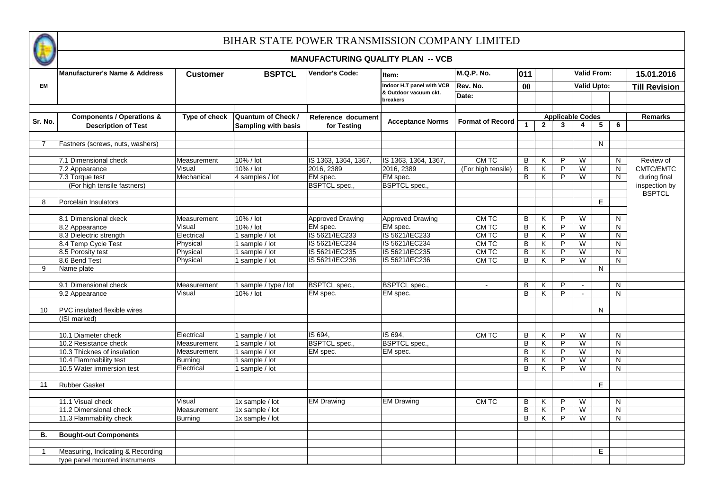

|                |                                                                    |                 |                                                         | <b>MANUFACTURING QUALITY PLAN -- VCB</b> |                                   |                         |                      |                         |                |                                                    |              |   |                      |
|----------------|--------------------------------------------------------------------|-----------------|---------------------------------------------------------|------------------------------------------|-----------------------------------|-------------------------|----------------------|-------------------------|----------------|----------------------------------------------------|--------------|---|----------------------|
|                | Manufacturer's Name & Address                                      | <b>Customer</b> | <b>BSPTCL</b>                                           | Vendor's Code:                           | Item:                             | <b>M.Q.P. No.</b>       | 011                  |                         |                | <b>Valid From:</b>                                 |              |   | 15.01.2016           |
| <b>EM</b>      |                                                                    |                 |                                                         |                                          | Indoor H.T panel with VCB         | Rev. No.                | 00 <sup>°</sup>      |                         |                | <b>Valid Upto:</b>                                 |              |   | <b>Till Revision</b> |
|                |                                                                    |                 |                                                         |                                          | & Outdoor vacuum ckt.<br>breakers | Date:                   |                      |                         |                |                                                    |              |   |                      |
|                |                                                                    |                 |                                                         |                                          |                                   |                         |                      |                         |                |                                                    |              |   |                      |
| Sr. No.        | <b>Components / Operations &amp;</b><br><b>Description of Test</b> | Type of check   | <b>Quantum of Check /</b><br><b>Sampling with basis</b> | Reference document<br>for Testing        | <b>Acceptance Norms</b>           | <b>Format of Record</b> | $\blacktriangleleft$ | $\overline{2}$          | $\mathbf{3}$   | <b>Applicable Codes</b><br>$\overline{\mathbf{4}}$ | 5            | 6 | <b>Remarks</b>       |
|                |                                                                    |                 |                                                         |                                          |                                   |                         |                      |                         |                |                                                    |              |   |                      |
| $\overline{7}$ | Fastners (screws, nuts, washers)                                   |                 |                                                         |                                          |                                   |                         |                      |                         |                |                                                    | N            |   |                      |
|                |                                                                    |                 |                                                         |                                          |                                   |                         |                      |                         |                |                                                    |              |   |                      |
|                | 7.1 Dimensional check                                              | Measurement     | 10% / lot                                               | IS 1363, 1364, 1367,                     | IS 1363, 1364, 1367,              | CM TC                   | В                    | Κ                       | P              | W                                                  |              | N | Review of            |
|                | 7.2 Appearance                                                     | Visual          | $10\%$ / lot                                            | 2016, 2389                               | 2016, 2389                        | (For high tensile)      | $\overline{B}$       | K                       | $\mathsf{P}$   | W                                                  |              | N | CMTC/EMTC            |
|                | 7.3 Torque test                                                    | Mechanical      | 4 samples / lot                                         | EM spec.                                 | EM spec.                          |                         | B                    | Κ                       | $\mathsf{P}$   | W                                                  |              | N | during final         |
|                | (For high tensile fastners)                                        |                 |                                                         | <b>BSPTCL</b> spec.,                     | <b>BSPTCL</b> spec.,              |                         |                      |                         |                |                                                    |              |   | inspection by        |
| 8              | Porcelain Insulators                                               |                 |                                                         |                                          |                                   |                         |                      |                         |                |                                                    | E            |   | <b>BSPTCL</b>        |
|                |                                                                    |                 |                                                         |                                          |                                   |                         |                      |                         |                |                                                    |              |   |                      |
|                | 8.1 Dimensional ckeck                                              | Measurement     | 10% / lot                                               | <b>Approved Drawing</b>                  | <b>Approved Drawing</b>           | CM TC                   | В                    | Κ                       | P              | W                                                  |              | N |                      |
|                | 8.2 Appearance                                                     | Visual          | 10% / lot                                               | EM spec.                                 | EM spec.                          | CM TC                   | В                    | Κ                       | P              | W                                                  |              | N |                      |
|                | 8.3 Dielectric strength                                            | Electrical      | 1 sample / lot                                          | IS 5621/IEC233                           | IS 5621/IEC233                    | CM TC                   | В                    | Κ                       | P              | W                                                  |              | N |                      |
|                | 8.4 Temp Cycle Test                                                | Physical        | 1 sample / lot                                          | IS 5621/IEC234                           | IS 5621/IEC234                    | CM TC                   | В                    | Κ                       | P              | W                                                  |              | N |                      |
|                | 8.5 Porosity test                                                  | Physical        | 1 sample / lot                                          | IS 5621/IEC235                           | IS 5621/IEC235                    | CM TC                   | B                    | Κ                       | P              | W                                                  |              | N |                      |
|                | 8.6 Bend Test                                                      | Physical        | 1 sample / lot                                          | IS 5621/IEC236                           | IS 5621/IEC236                    | <b>CMTC</b>             | B                    | K                       | P              | W                                                  |              | N |                      |
| 9              | Name plate                                                         |                 |                                                         |                                          |                                   |                         |                      |                         |                |                                                    | $\mathsf{N}$ |   |                      |
|                |                                                                    |                 |                                                         |                                          |                                   |                         |                      |                         |                |                                                    |              |   |                      |
|                | 9.1 Dimensional check                                              | Measurement     | 1 sample / type / lot                                   | <b>BSPTCL</b> spec.                      | <b>BSPTCL</b> spec.,              | $\Delta$                | B                    | Κ                       | P              |                                                    |              | N |                      |
|                | 9.2 Appearance                                                     | Visual          | 10% / lot                                               | EM spec.                                 | EM spec.                          |                         | B                    | K                       | P              | $\sim$                                             |              | N |                      |
|                |                                                                    |                 |                                                         |                                          |                                   |                         |                      |                         |                |                                                    |              |   |                      |
| 10             | <b>PVC</b> insulated flexible wires                                |                 |                                                         |                                          |                                   |                         |                      |                         |                |                                                    | N            |   |                      |
|                | (ISI marked)                                                       |                 |                                                         |                                          |                                   |                         |                      |                         |                |                                                    |              |   |                      |
|                | 10.1 Diameter check                                                | Electrical      | 1 sample / lot                                          | IS 694,                                  | IS 694,                           | CM TC                   | B                    | $\overline{\mathsf{K}}$ | P              | W                                                  |              | N |                      |
|                | 10.2 Resistance check                                              | Measurement     | 1 sample / lot                                          | <b>BSPTCL</b> spec.,                     | <b>BSPTCL</b> spec.,              |                         | B                    | $\overline{\mathsf{K}}$ | $\overline{P}$ | W                                                  |              | N |                      |
|                | 10.3 Thicknes of insulation                                        | Measurement     | 1 sample / lot                                          | EM spec.                                 | EM spec.                          |                         | $\, {\bf B}$         | K                       | $\overline{P}$ | W                                                  |              | N |                      |
|                | 10.4 Flammability test                                             | <b>Burning</b>  | 1 sample / lot                                          |                                          |                                   |                         | B                    | K                       | $\overline{P}$ | W                                                  |              | N |                      |
|                | 10.5 Water immersion test                                          | Electrical      | 1 sample / lot                                          |                                          |                                   |                         | B                    | $\overline{K}$          | $\overline{P}$ | W                                                  |              | N |                      |
|                |                                                                    |                 |                                                         |                                          |                                   |                         |                      |                         |                |                                                    |              |   |                      |
| 11             | <b>Rubber Gasket</b>                                               |                 |                                                         |                                          |                                   |                         |                      |                         |                |                                                    | E.           |   |                      |
|                |                                                                    |                 |                                                         |                                          |                                   |                         |                      |                         |                |                                                    |              |   |                      |
|                | 11.1 Visual check                                                  | Visual          | 1x sample / lot                                         | <b>EM Drawing</b>                        | <b>EM Drawing</b>                 | CM TC                   | В                    | Κ                       | P              | W                                                  |              | N |                      |
|                | 11.2 Dimensional check                                             | Measurement     | 1x sample / lot                                         |                                          |                                   |                         | В                    | Κ                       | $\overline{P}$ | W                                                  |              | N |                      |
|                | 11.3 Flammability check                                            | Burning         | 1x sample / lot                                         |                                          |                                   |                         | B                    | Κ                       | P              | W                                                  |              | N |                      |
|                |                                                                    |                 |                                                         |                                          |                                   |                         |                      |                         |                |                                                    |              |   |                      |
| В.             | <b>Bought-out Components</b>                                       |                 |                                                         |                                          |                                   |                         |                      |                         |                |                                                    |              |   |                      |
| $\overline{1}$ | Measuring, Indicating & Recording                                  |                 |                                                         |                                          |                                   |                         |                      |                         |                |                                                    | Е            |   |                      |
|                | type panel mounted instruments                                     |                 |                                                         |                                          |                                   |                         |                      |                         |                |                                                    |              |   |                      |
|                |                                                                    |                 |                                                         |                                          |                                   |                         |                      |                         |                |                                                    |              |   |                      |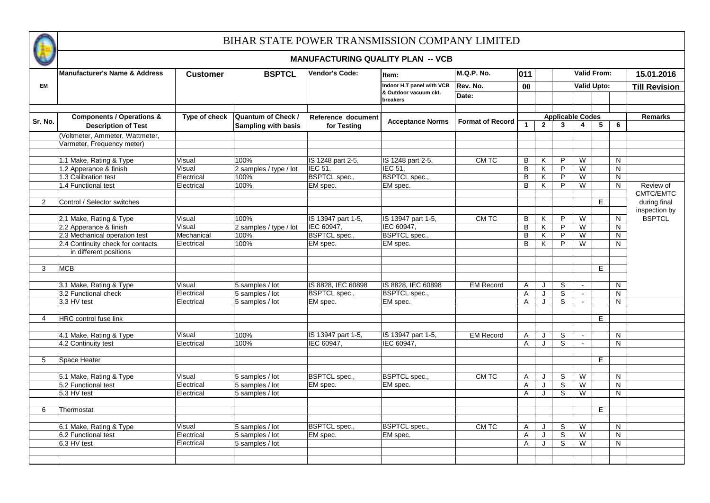

|                |                                                                    |                 |                                                  | <b>MANUFACTURING QUALITY PLAN -- VCB</b> |                                   |                         |              |              |                         |                              |                    |   |                      |
|----------------|--------------------------------------------------------------------|-----------------|--------------------------------------------------|------------------------------------------|-----------------------------------|-------------------------|--------------|--------------|-------------------------|------------------------------|--------------------|---|----------------------|
|                | Manufacturer's Name & Address                                      | <b>Customer</b> | <b>BSPTCL</b>                                    | Vendor's Code:                           | ltem:                             | <b>M.Q.P. No.</b>       | 011          |              |                         |                              | <b>Valid From:</b> |   | 15.01.2016           |
| EM             |                                                                    |                 |                                                  |                                          | Indoor H.T panel with VCB         | Rev. No.                | 00           |              |                         | <b>Valid Upto:</b>           |                    |   | <b>Till Revision</b> |
|                |                                                                    |                 |                                                  |                                          | & Outdoor vacuum ckt.<br>breakers | Date:                   |              |              |                         |                              |                    |   |                      |
|                |                                                                    |                 |                                                  |                                          |                                   |                         |              |              |                         |                              |                    |   |                      |
| Sr. No.        | <b>Components / Operations &amp;</b><br><b>Description of Test</b> | Type of check   | <b>Quantum of Check /</b><br>Sampling with basis | Reference document<br>for Testing        | <b>Acceptance Norms</b>           | <b>Format of Record</b> | $\mathbf{1}$ | $\mathbf{2}$ | $\mathbf{3}$            | <b>Applicable Codes</b><br>4 | 5                  | 6 | <b>Remarks</b>       |
|                | (Voltmeter, Ammeter, Wattmeter,                                    |                 |                                                  |                                          |                                   |                         |              |              |                         |                              |                    |   |                      |
|                | Varmeter, Frequency meter)                                         |                 |                                                  |                                          |                                   |                         |              |              |                         |                              |                    |   |                      |
|                |                                                                    |                 |                                                  |                                          |                                   |                         |              |              |                         |                              |                    |   |                      |
|                | 1.1 Make, Rating & Type                                            | Visual          | 100%                                             | IS 1248 part 2-5,                        | IS 1248 part 2-5,                 | CM TC                   | B            | K            | P                       | W                            |                    | N |                      |
|                | 1.2 Apperance & finish                                             | Visual          | 2 samples / type / lot                           | $IEC$ 51,                                | <b>IEC 51,</b>                    |                         | B            | K            | $\overline{P}$          | W                            |                    | N |                      |
|                | 1.3 Calibration test                                               | Electrical      | 100%                                             | <b>BSPTCL</b> spec.,                     | <b>BSPTCL</b> spec.,              |                         | B            | Κ            | $\overline{P}$          | W                            |                    | N |                      |
|                | 1.4 Functional test                                                | Electrical      | 100%                                             | EM spec.                                 | EM spec.                          |                         | B            | K            | $\overline{P}$          | W                            |                    | N | Review of            |
|                |                                                                    |                 |                                                  |                                          |                                   |                         |              |              |                         |                              |                    |   | CMTC/EMTC            |
| 2              | Control / Selector switches                                        |                 |                                                  |                                          |                                   |                         |              |              |                         |                              | Е                  |   | during final         |
|                |                                                                    |                 |                                                  |                                          |                                   |                         |              |              |                         |                              |                    |   | inspection by        |
|                | 2.1 Make, Rating & Type                                            | Visual          | 100%                                             | IS 13947 part 1-5,                       | IS 13947 part 1-5,                | <b>CMTC</b>             | B            | Κ            | P                       | W                            |                    | N | <b>BSPTCL</b>        |
|                | 2.2 Apperance & finish                                             | Visual          | 2 samples / type / lot                           | IEC 60947,                               | IEC 60947,                        |                         | B            | K            | P                       | W                            |                    | N |                      |
|                | 2.3 Mechanical operation test                                      | Mechanical      | 100%                                             | <b>BSPTCL</b> spec.,                     | <b>BSPTCL</b> spec.,              |                         | В            | K            | P                       | W                            |                    | N |                      |
|                | 2.4 Continuity check for contacts                                  | Electrical      | 100%                                             | EM spec.                                 | EM spec.                          |                         | B            | K            | P                       | W                            |                    | N |                      |
|                | in different positions                                             |                 |                                                  |                                          |                                   |                         |              |              |                         |                              |                    |   |                      |
| 3              |                                                                    |                 |                                                  |                                          |                                   |                         |              |              |                         |                              |                    |   |                      |
|                | <b>MCB</b>                                                         |                 |                                                  |                                          |                                   |                         |              |              |                         |                              | E                  |   |                      |
|                | 3.1 Make, Rating & Type                                            | Visual          | 5 samples / lot                                  | IS 8828, IEC 60898                       | IS 8828. IEC 60898                | <b>EM Record</b>        | A            | J            | S                       |                              |                    | N |                      |
|                | 3.2 Functional check                                               | Electrical      | 5 samples / lot                                  | <b>BSPTCL</b> spec.,                     | <b>BSPTCL</b> spec.,              |                         | A            | J            | $\overline{\mathbf{s}}$ | $\mathbf{r}$                 |                    | N |                      |
|                | 3.3 HV test                                                        | Electrical      | 5 samples / lot                                  | EM spec.                                 | EM spec.                          |                         | A            | J            | S                       | $\mathbf{r}$                 |                    | N |                      |
|                |                                                                    |                 |                                                  |                                          |                                   |                         |              |              |                         |                              |                    |   |                      |
| $\overline{4}$ | HRC control fuse link                                              |                 |                                                  |                                          |                                   |                         |              |              |                         |                              | $\overline{E}$     |   |                      |
|                |                                                                    |                 |                                                  |                                          |                                   |                         |              |              |                         |                              |                    |   |                      |
|                | 4.1 Make, Rating & Type                                            | Visual          | 100%                                             | IS 13947 part 1-5,                       | IS 13947 part 1-5,                | <b>EM Record</b>        | A            | J            | $\mathbb S$             | $\sim$                       |                    | N |                      |
|                | 4.2 Continuity test                                                | Electrical      | 100%                                             | IEC 60947.                               | IEC 60947,                        |                         | A            | J            | S                       | $\mathbf{r}$                 |                    | N |                      |
|                |                                                                    |                 |                                                  |                                          |                                   |                         |              |              |                         |                              |                    |   |                      |
| 5              | Space Heater                                                       |                 |                                                  |                                          |                                   |                         |              |              |                         |                              | E.                 |   |                      |
|                |                                                                    |                 |                                                  |                                          |                                   |                         |              |              |                         |                              |                    |   |                      |
|                | 5.1 Make, Rating & Type                                            | Visual          | 5 samples / lot                                  | <b>BSPTCL</b> spec.,                     | <b>BSPTCL</b> spec.,              | CM TC                   | Α            | J            | S                       | W                            |                    | N |                      |
|                | 5.2 Functional test                                                | Electrical      | 5 samples / lot                                  | EM spec.                                 | EM spec.                          |                         | A            |              | S                       | W                            |                    | N |                      |
|                | 5.3 HV test                                                        | Electrical      | 5 samples / lot                                  |                                          |                                   |                         | $\mathsf{A}$ | J            | S                       | W                            |                    | N |                      |
|                |                                                                    |                 |                                                  |                                          |                                   |                         |              |              |                         |                              |                    |   |                      |
| 6              | Thermostat                                                         |                 |                                                  |                                          |                                   |                         |              |              |                         |                              | E.                 |   |                      |
|                |                                                                    |                 |                                                  |                                          |                                   |                         |              |              |                         |                              |                    |   |                      |
|                | 6.1 Make, Rating & Type                                            | Visual          | 5 samples / lot                                  | <b>BSPTCL</b> spec.,                     | <b>BSPTCL</b> spec.,              | CM TC                   | A            | J            | S                       | W                            |                    | N |                      |
|                | 6.2 Functional test                                                | Electrical      | 5 samples / lot                                  | EM spec.                                 | EM spec.                          |                         | A            | J            | $\overline{s}$          | W                            |                    | N |                      |
|                | 6.3 HV test                                                        | Electrical      | 5 samples / lot                                  |                                          |                                   |                         | $\mathsf{A}$ | J            | S                       | W                            |                    | N |                      |
|                |                                                                    |                 |                                                  |                                          |                                   |                         |              |              |                         |                              |                    |   |                      |
|                |                                                                    |                 |                                                  |                                          |                                   |                         |              |              |                         |                              |                    |   |                      |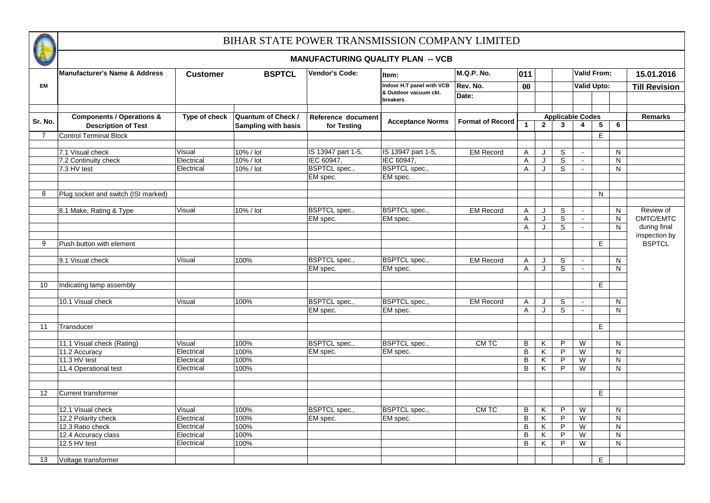

| <b>M.Q.P. No.</b><br>Valid From:<br><b>Manufacturer's Name &amp; Address</b><br>Vendor's Code:<br><b>BSPTCL</b><br>011<br><b>Customer</b><br>Item:<br>Indoor H.T panel with VCB<br><b>Valid Upto:</b><br>Rev. No.<br><b>EM</b><br>$\bf{00}$<br>& Outdoor vacuum ckt.<br>Date:<br>breakers<br><b>Components / Operations &amp;</b><br>Type of check<br>Quantum of Check /<br><b>Applicable Codes</b><br><b>Remarks</b><br>Reference document<br><b>Acceptance Norms</b><br>Sr. No.<br><b>Format of Record</b><br>$\mathbf{1}$<br>$\mathbf{2}$<br>$\overline{3}$<br>$\overline{\mathbf{5}}$<br>$\overline{\mathbf{4}}$<br>6<br><b>Description of Test</b><br><b>Sampling with basis</b><br>for Testing<br><b>Control Terminal Block</b><br>E.<br>$\overline{7}$<br>IS 13947 part 1-5,<br>IS 13947 part 1-5,<br>7.1 Visual check<br>Visual<br>10% / lot<br><b>EM Record</b><br>S<br>A<br>J<br>N<br>$\mathbf{r}$<br>IEC 60947,<br>IEC 60947,<br>Electrical<br>10% / lot<br>S<br>7.2 Continuity check<br>A<br>J<br>N<br><b>BSPTCL</b> spec.,<br><b>BSPTCL</b> spec.,<br>S<br>7.3 HV test<br>Electrical<br>10% / lot<br>$\mathsf{A}$<br>J<br>N<br>$\mathbf{r}$<br>EM spec.<br>EM spec.<br>Plug socket and switch (ISI marked)<br>N<br>8<br>8.1 Make, Rating & Type<br>10% / lot<br><b>BSPTCL</b> spec.,<br><b>BSPTCL</b> spec.,<br><b>EM Record</b><br>S<br>Review of<br>Visual<br>A<br>J<br>N<br>$\mathbf{r}$<br>$\overline{s}$<br>EM spec.<br>EM spec.<br>Α<br>J<br>N<br>$\mathbf{r}$<br>S<br>A<br>J<br>N<br>during final<br>$\blacksquare$<br><b>BSPTCL</b><br>E<br>9<br>Push button with element<br><b>BSPTCL</b> spec.,<br><b>BSPTCL</b> spec.,<br>9.1 Visual check<br>Visual<br>100%<br><b>EM Record</b><br>S<br>N<br>A<br>J<br>$\blacksquare$<br>S<br>EM spec.<br>EM spec.<br>A<br>J<br>N<br>$\mathbf{r}$<br>E<br>Indicating lamp assembly<br>10<br><b>BSPTCL</b> spec.,<br><b>BSPTCL</b> spec.,<br><b>EM Record</b><br>$\overline{s}$<br>10.1 Visual check<br>Visual<br>100%<br>N<br>A<br>J<br>$\blacksquare$<br>S<br>EM spec.<br>EM spec.<br>A<br>J<br>N.<br>$\blacksquare$<br>E.<br>11<br>Transducer<br>100%<br><b>BSPTCL</b> spec.,<br><b>BSPTCL</b> spec.,<br>CM TC<br>В<br>K<br>P<br>W<br>11.1 Visual check (Rating)<br>Visual<br>N<br>Electrical<br>P<br>11.2 Accuracy<br>100%<br>B<br>K<br>W<br>EM spec.<br>EM spec.<br>N<br>11.3 HV test<br>Electrical<br>100%<br>B<br>Κ<br>P<br>W<br>N<br>P<br>11.4 Operational test<br>B<br>K<br>W<br>Electrical<br>100%<br>N<br>12<br>E<br>Current transformer<br><b>BSPTCL</b> spec.,<br><b>BSPTCL</b> spec.,<br>P<br>12.1 Visual check<br>100%<br>CM TC<br>B<br>K<br>W<br>Visual<br>N<br>Electrical<br>B<br>P<br>12.2 Polarity check<br>100%<br>EM spec.<br>Κ<br>W<br>EM spec.<br>N<br>P<br>12.3 Ratio check<br>Electrical<br>100%<br>B<br>Κ<br>W<br>N<br>P<br>12.4 Accuracy class<br>Electrical<br>100%<br>B<br>W<br>N<br>Κ<br>P<br>12.5 HV test<br>100%<br>B<br>K.<br>W<br>N <sub>1</sub><br>Electrical |    |                     |  | <b>MANUFACTURING QUALITY PLAN -- VCB</b> |  |  |  |    |                      |
|----------------------------------------------------------------------------------------------------------------------------------------------------------------------------------------------------------------------------------------------------------------------------------------------------------------------------------------------------------------------------------------------------------------------------------------------------------------------------------------------------------------------------------------------------------------------------------------------------------------------------------------------------------------------------------------------------------------------------------------------------------------------------------------------------------------------------------------------------------------------------------------------------------------------------------------------------------------------------------------------------------------------------------------------------------------------------------------------------------------------------------------------------------------------------------------------------------------------------------------------------------------------------------------------------------------------------------------------------------------------------------------------------------------------------------------------------------------------------------------------------------------------------------------------------------------------------------------------------------------------------------------------------------------------------------------------------------------------------------------------------------------------------------------------------------------------------------------------------------------------------------------------------------------------------------------------------------------------------------------------------------------------------------------------------------------------------------------------------------------------------------------------------------------------------------------------------------------------------------------------------------------------------------------------------------------------------------------------------------------------------------------------------------------------------------------------------------------------------------------------------------------------------------------------------------------------------------------------------------------------------------------------------------------------------------------------------------------------------------------------------------------------------------------------------------------------------------------------------------------------------------------------------------------------------------------------------------|----|---------------------|--|------------------------------------------|--|--|--|----|----------------------|
|                                                                                                                                                                                                                                                                                                                                                                                                                                                                                                                                                                                                                                                                                                                                                                                                                                                                                                                                                                                                                                                                                                                                                                                                                                                                                                                                                                                                                                                                                                                                                                                                                                                                                                                                                                                                                                                                                                                                                                                                                                                                                                                                                                                                                                                                                                                                                                                                                                                                                                                                                                                                                                                                                                                                                                                                                                                                                                                                                          |    |                     |  |                                          |  |  |  |    | 15.01.2016           |
|                                                                                                                                                                                                                                                                                                                                                                                                                                                                                                                                                                                                                                                                                                                                                                                                                                                                                                                                                                                                                                                                                                                                                                                                                                                                                                                                                                                                                                                                                                                                                                                                                                                                                                                                                                                                                                                                                                                                                                                                                                                                                                                                                                                                                                                                                                                                                                                                                                                                                                                                                                                                                                                                                                                                                                                                                                                                                                                                                          |    |                     |  |                                          |  |  |  |    | <b>Till Revision</b> |
|                                                                                                                                                                                                                                                                                                                                                                                                                                                                                                                                                                                                                                                                                                                                                                                                                                                                                                                                                                                                                                                                                                                                                                                                                                                                                                                                                                                                                                                                                                                                                                                                                                                                                                                                                                                                                                                                                                                                                                                                                                                                                                                                                                                                                                                                                                                                                                                                                                                                                                                                                                                                                                                                                                                                                                                                                                                                                                                                                          |    |                     |  |                                          |  |  |  |    |                      |
|                                                                                                                                                                                                                                                                                                                                                                                                                                                                                                                                                                                                                                                                                                                                                                                                                                                                                                                                                                                                                                                                                                                                                                                                                                                                                                                                                                                                                                                                                                                                                                                                                                                                                                                                                                                                                                                                                                                                                                                                                                                                                                                                                                                                                                                                                                                                                                                                                                                                                                                                                                                                                                                                                                                                                                                                                                                                                                                                                          |    |                     |  |                                          |  |  |  |    |                      |
|                                                                                                                                                                                                                                                                                                                                                                                                                                                                                                                                                                                                                                                                                                                                                                                                                                                                                                                                                                                                                                                                                                                                                                                                                                                                                                                                                                                                                                                                                                                                                                                                                                                                                                                                                                                                                                                                                                                                                                                                                                                                                                                                                                                                                                                                                                                                                                                                                                                                                                                                                                                                                                                                                                                                                                                                                                                                                                                                                          |    |                     |  |                                          |  |  |  |    |                      |
|                                                                                                                                                                                                                                                                                                                                                                                                                                                                                                                                                                                                                                                                                                                                                                                                                                                                                                                                                                                                                                                                                                                                                                                                                                                                                                                                                                                                                                                                                                                                                                                                                                                                                                                                                                                                                                                                                                                                                                                                                                                                                                                                                                                                                                                                                                                                                                                                                                                                                                                                                                                                                                                                                                                                                                                                                                                                                                                                                          |    |                     |  |                                          |  |  |  |    |                      |
|                                                                                                                                                                                                                                                                                                                                                                                                                                                                                                                                                                                                                                                                                                                                                                                                                                                                                                                                                                                                                                                                                                                                                                                                                                                                                                                                                                                                                                                                                                                                                                                                                                                                                                                                                                                                                                                                                                                                                                                                                                                                                                                                                                                                                                                                                                                                                                                                                                                                                                                                                                                                                                                                                                                                                                                                                                                                                                                                                          |    |                     |  |                                          |  |  |  |    |                      |
|                                                                                                                                                                                                                                                                                                                                                                                                                                                                                                                                                                                                                                                                                                                                                                                                                                                                                                                                                                                                                                                                                                                                                                                                                                                                                                                                                                                                                                                                                                                                                                                                                                                                                                                                                                                                                                                                                                                                                                                                                                                                                                                                                                                                                                                                                                                                                                                                                                                                                                                                                                                                                                                                                                                                                                                                                                                                                                                                                          |    |                     |  |                                          |  |  |  |    |                      |
|                                                                                                                                                                                                                                                                                                                                                                                                                                                                                                                                                                                                                                                                                                                                                                                                                                                                                                                                                                                                                                                                                                                                                                                                                                                                                                                                                                                                                                                                                                                                                                                                                                                                                                                                                                                                                                                                                                                                                                                                                                                                                                                                                                                                                                                                                                                                                                                                                                                                                                                                                                                                                                                                                                                                                                                                                                                                                                                                                          |    |                     |  |                                          |  |  |  |    |                      |
|                                                                                                                                                                                                                                                                                                                                                                                                                                                                                                                                                                                                                                                                                                                                                                                                                                                                                                                                                                                                                                                                                                                                                                                                                                                                                                                                                                                                                                                                                                                                                                                                                                                                                                                                                                                                                                                                                                                                                                                                                                                                                                                                                                                                                                                                                                                                                                                                                                                                                                                                                                                                                                                                                                                                                                                                                                                                                                                                                          |    |                     |  |                                          |  |  |  |    |                      |
|                                                                                                                                                                                                                                                                                                                                                                                                                                                                                                                                                                                                                                                                                                                                                                                                                                                                                                                                                                                                                                                                                                                                                                                                                                                                                                                                                                                                                                                                                                                                                                                                                                                                                                                                                                                                                                                                                                                                                                                                                                                                                                                                                                                                                                                                                                                                                                                                                                                                                                                                                                                                                                                                                                                                                                                                                                                                                                                                                          |    |                     |  |                                          |  |  |  |    |                      |
|                                                                                                                                                                                                                                                                                                                                                                                                                                                                                                                                                                                                                                                                                                                                                                                                                                                                                                                                                                                                                                                                                                                                                                                                                                                                                                                                                                                                                                                                                                                                                                                                                                                                                                                                                                                                                                                                                                                                                                                                                                                                                                                                                                                                                                                                                                                                                                                                                                                                                                                                                                                                                                                                                                                                                                                                                                                                                                                                                          |    |                     |  |                                          |  |  |  |    |                      |
|                                                                                                                                                                                                                                                                                                                                                                                                                                                                                                                                                                                                                                                                                                                                                                                                                                                                                                                                                                                                                                                                                                                                                                                                                                                                                                                                                                                                                                                                                                                                                                                                                                                                                                                                                                                                                                                                                                                                                                                                                                                                                                                                                                                                                                                                                                                                                                                                                                                                                                                                                                                                                                                                                                                                                                                                                                                                                                                                                          |    |                     |  |                                          |  |  |  |    |                      |
|                                                                                                                                                                                                                                                                                                                                                                                                                                                                                                                                                                                                                                                                                                                                                                                                                                                                                                                                                                                                                                                                                                                                                                                                                                                                                                                                                                                                                                                                                                                                                                                                                                                                                                                                                                                                                                                                                                                                                                                                                                                                                                                                                                                                                                                                                                                                                                                                                                                                                                                                                                                                                                                                                                                                                                                                                                                                                                                                                          |    |                     |  |                                          |  |  |  |    |                      |
|                                                                                                                                                                                                                                                                                                                                                                                                                                                                                                                                                                                                                                                                                                                                                                                                                                                                                                                                                                                                                                                                                                                                                                                                                                                                                                                                                                                                                                                                                                                                                                                                                                                                                                                                                                                                                                                                                                                                                                                                                                                                                                                                                                                                                                                                                                                                                                                                                                                                                                                                                                                                                                                                                                                                                                                                                                                                                                                                                          |    |                     |  |                                          |  |  |  |    | CMTC/EMTC            |
|                                                                                                                                                                                                                                                                                                                                                                                                                                                                                                                                                                                                                                                                                                                                                                                                                                                                                                                                                                                                                                                                                                                                                                                                                                                                                                                                                                                                                                                                                                                                                                                                                                                                                                                                                                                                                                                                                                                                                                                                                                                                                                                                                                                                                                                                                                                                                                                                                                                                                                                                                                                                                                                                                                                                                                                                                                                                                                                                                          |    |                     |  |                                          |  |  |  |    |                      |
|                                                                                                                                                                                                                                                                                                                                                                                                                                                                                                                                                                                                                                                                                                                                                                                                                                                                                                                                                                                                                                                                                                                                                                                                                                                                                                                                                                                                                                                                                                                                                                                                                                                                                                                                                                                                                                                                                                                                                                                                                                                                                                                                                                                                                                                                                                                                                                                                                                                                                                                                                                                                                                                                                                                                                                                                                                                                                                                                                          |    |                     |  |                                          |  |  |  |    | inspection by        |
|                                                                                                                                                                                                                                                                                                                                                                                                                                                                                                                                                                                                                                                                                                                                                                                                                                                                                                                                                                                                                                                                                                                                                                                                                                                                                                                                                                                                                                                                                                                                                                                                                                                                                                                                                                                                                                                                                                                                                                                                                                                                                                                                                                                                                                                                                                                                                                                                                                                                                                                                                                                                                                                                                                                                                                                                                                                                                                                                                          |    |                     |  |                                          |  |  |  |    |                      |
|                                                                                                                                                                                                                                                                                                                                                                                                                                                                                                                                                                                                                                                                                                                                                                                                                                                                                                                                                                                                                                                                                                                                                                                                                                                                                                                                                                                                                                                                                                                                                                                                                                                                                                                                                                                                                                                                                                                                                                                                                                                                                                                                                                                                                                                                                                                                                                                                                                                                                                                                                                                                                                                                                                                                                                                                                                                                                                                                                          |    |                     |  |                                          |  |  |  |    |                      |
|                                                                                                                                                                                                                                                                                                                                                                                                                                                                                                                                                                                                                                                                                                                                                                                                                                                                                                                                                                                                                                                                                                                                                                                                                                                                                                                                                                                                                                                                                                                                                                                                                                                                                                                                                                                                                                                                                                                                                                                                                                                                                                                                                                                                                                                                                                                                                                                                                                                                                                                                                                                                                                                                                                                                                                                                                                                                                                                                                          |    |                     |  |                                          |  |  |  |    |                      |
|                                                                                                                                                                                                                                                                                                                                                                                                                                                                                                                                                                                                                                                                                                                                                                                                                                                                                                                                                                                                                                                                                                                                                                                                                                                                                                                                                                                                                                                                                                                                                                                                                                                                                                                                                                                                                                                                                                                                                                                                                                                                                                                                                                                                                                                                                                                                                                                                                                                                                                                                                                                                                                                                                                                                                                                                                                                                                                                                                          |    |                     |  |                                          |  |  |  |    |                      |
|                                                                                                                                                                                                                                                                                                                                                                                                                                                                                                                                                                                                                                                                                                                                                                                                                                                                                                                                                                                                                                                                                                                                                                                                                                                                                                                                                                                                                                                                                                                                                                                                                                                                                                                                                                                                                                                                                                                                                                                                                                                                                                                                                                                                                                                                                                                                                                                                                                                                                                                                                                                                                                                                                                                                                                                                                                                                                                                                                          |    |                     |  |                                          |  |  |  |    |                      |
|                                                                                                                                                                                                                                                                                                                                                                                                                                                                                                                                                                                                                                                                                                                                                                                                                                                                                                                                                                                                                                                                                                                                                                                                                                                                                                                                                                                                                                                                                                                                                                                                                                                                                                                                                                                                                                                                                                                                                                                                                                                                                                                                                                                                                                                                                                                                                                                                                                                                                                                                                                                                                                                                                                                                                                                                                                                                                                                                                          |    |                     |  |                                          |  |  |  |    |                      |
|                                                                                                                                                                                                                                                                                                                                                                                                                                                                                                                                                                                                                                                                                                                                                                                                                                                                                                                                                                                                                                                                                                                                                                                                                                                                                                                                                                                                                                                                                                                                                                                                                                                                                                                                                                                                                                                                                                                                                                                                                                                                                                                                                                                                                                                                                                                                                                                                                                                                                                                                                                                                                                                                                                                                                                                                                                                                                                                                                          |    |                     |  |                                          |  |  |  |    |                      |
|                                                                                                                                                                                                                                                                                                                                                                                                                                                                                                                                                                                                                                                                                                                                                                                                                                                                                                                                                                                                                                                                                                                                                                                                                                                                                                                                                                                                                                                                                                                                                                                                                                                                                                                                                                                                                                                                                                                                                                                                                                                                                                                                                                                                                                                                                                                                                                                                                                                                                                                                                                                                                                                                                                                                                                                                                                                                                                                                                          |    |                     |  |                                          |  |  |  |    |                      |
|                                                                                                                                                                                                                                                                                                                                                                                                                                                                                                                                                                                                                                                                                                                                                                                                                                                                                                                                                                                                                                                                                                                                                                                                                                                                                                                                                                                                                                                                                                                                                                                                                                                                                                                                                                                                                                                                                                                                                                                                                                                                                                                                                                                                                                                                                                                                                                                                                                                                                                                                                                                                                                                                                                                                                                                                                                                                                                                                                          |    |                     |  |                                          |  |  |  |    |                      |
|                                                                                                                                                                                                                                                                                                                                                                                                                                                                                                                                                                                                                                                                                                                                                                                                                                                                                                                                                                                                                                                                                                                                                                                                                                                                                                                                                                                                                                                                                                                                                                                                                                                                                                                                                                                                                                                                                                                                                                                                                                                                                                                                                                                                                                                                                                                                                                                                                                                                                                                                                                                                                                                                                                                                                                                                                                                                                                                                                          |    |                     |  |                                          |  |  |  |    |                      |
|                                                                                                                                                                                                                                                                                                                                                                                                                                                                                                                                                                                                                                                                                                                                                                                                                                                                                                                                                                                                                                                                                                                                                                                                                                                                                                                                                                                                                                                                                                                                                                                                                                                                                                                                                                                                                                                                                                                                                                                                                                                                                                                                                                                                                                                                                                                                                                                                                                                                                                                                                                                                                                                                                                                                                                                                                                                                                                                                                          |    |                     |  |                                          |  |  |  |    |                      |
|                                                                                                                                                                                                                                                                                                                                                                                                                                                                                                                                                                                                                                                                                                                                                                                                                                                                                                                                                                                                                                                                                                                                                                                                                                                                                                                                                                                                                                                                                                                                                                                                                                                                                                                                                                                                                                                                                                                                                                                                                                                                                                                                                                                                                                                                                                                                                                                                                                                                                                                                                                                                                                                                                                                                                                                                                                                                                                                                                          |    |                     |  |                                          |  |  |  |    |                      |
|                                                                                                                                                                                                                                                                                                                                                                                                                                                                                                                                                                                                                                                                                                                                                                                                                                                                                                                                                                                                                                                                                                                                                                                                                                                                                                                                                                                                                                                                                                                                                                                                                                                                                                                                                                                                                                                                                                                                                                                                                                                                                                                                                                                                                                                                                                                                                                                                                                                                                                                                                                                                                                                                                                                                                                                                                                                                                                                                                          |    |                     |  |                                          |  |  |  |    |                      |
|                                                                                                                                                                                                                                                                                                                                                                                                                                                                                                                                                                                                                                                                                                                                                                                                                                                                                                                                                                                                                                                                                                                                                                                                                                                                                                                                                                                                                                                                                                                                                                                                                                                                                                                                                                                                                                                                                                                                                                                                                                                                                                                                                                                                                                                                                                                                                                                                                                                                                                                                                                                                                                                                                                                                                                                                                                                                                                                                                          |    |                     |  |                                          |  |  |  |    |                      |
|                                                                                                                                                                                                                                                                                                                                                                                                                                                                                                                                                                                                                                                                                                                                                                                                                                                                                                                                                                                                                                                                                                                                                                                                                                                                                                                                                                                                                                                                                                                                                                                                                                                                                                                                                                                                                                                                                                                                                                                                                                                                                                                                                                                                                                                                                                                                                                                                                                                                                                                                                                                                                                                                                                                                                                                                                                                                                                                                                          |    |                     |  |                                          |  |  |  |    |                      |
|                                                                                                                                                                                                                                                                                                                                                                                                                                                                                                                                                                                                                                                                                                                                                                                                                                                                                                                                                                                                                                                                                                                                                                                                                                                                                                                                                                                                                                                                                                                                                                                                                                                                                                                                                                                                                                                                                                                                                                                                                                                                                                                                                                                                                                                                                                                                                                                                                                                                                                                                                                                                                                                                                                                                                                                                                                                                                                                                                          |    |                     |  |                                          |  |  |  |    |                      |
|                                                                                                                                                                                                                                                                                                                                                                                                                                                                                                                                                                                                                                                                                                                                                                                                                                                                                                                                                                                                                                                                                                                                                                                                                                                                                                                                                                                                                                                                                                                                                                                                                                                                                                                                                                                                                                                                                                                                                                                                                                                                                                                                                                                                                                                                                                                                                                                                                                                                                                                                                                                                                                                                                                                                                                                                                                                                                                                                                          |    |                     |  |                                          |  |  |  |    |                      |
|                                                                                                                                                                                                                                                                                                                                                                                                                                                                                                                                                                                                                                                                                                                                                                                                                                                                                                                                                                                                                                                                                                                                                                                                                                                                                                                                                                                                                                                                                                                                                                                                                                                                                                                                                                                                                                                                                                                                                                                                                                                                                                                                                                                                                                                                                                                                                                                                                                                                                                                                                                                                                                                                                                                                                                                                                                                                                                                                                          |    |                     |  |                                          |  |  |  |    |                      |
|                                                                                                                                                                                                                                                                                                                                                                                                                                                                                                                                                                                                                                                                                                                                                                                                                                                                                                                                                                                                                                                                                                                                                                                                                                                                                                                                                                                                                                                                                                                                                                                                                                                                                                                                                                                                                                                                                                                                                                                                                                                                                                                                                                                                                                                                                                                                                                                                                                                                                                                                                                                                                                                                                                                                                                                                                                                                                                                                                          |    |                     |  |                                          |  |  |  |    |                      |
|                                                                                                                                                                                                                                                                                                                                                                                                                                                                                                                                                                                                                                                                                                                                                                                                                                                                                                                                                                                                                                                                                                                                                                                                                                                                                                                                                                                                                                                                                                                                                                                                                                                                                                                                                                                                                                                                                                                                                                                                                                                                                                                                                                                                                                                                                                                                                                                                                                                                                                                                                                                                                                                                                                                                                                                                                                                                                                                                                          |    |                     |  |                                          |  |  |  |    |                      |
|                                                                                                                                                                                                                                                                                                                                                                                                                                                                                                                                                                                                                                                                                                                                                                                                                                                                                                                                                                                                                                                                                                                                                                                                                                                                                                                                                                                                                                                                                                                                                                                                                                                                                                                                                                                                                                                                                                                                                                                                                                                                                                                                                                                                                                                                                                                                                                                                                                                                                                                                                                                                                                                                                                                                                                                                                                                                                                                                                          |    |                     |  |                                          |  |  |  |    |                      |
|                                                                                                                                                                                                                                                                                                                                                                                                                                                                                                                                                                                                                                                                                                                                                                                                                                                                                                                                                                                                                                                                                                                                                                                                                                                                                                                                                                                                                                                                                                                                                                                                                                                                                                                                                                                                                                                                                                                                                                                                                                                                                                                                                                                                                                                                                                                                                                                                                                                                                                                                                                                                                                                                                                                                                                                                                                                                                                                                                          |    |                     |  |                                          |  |  |  |    |                      |
|                                                                                                                                                                                                                                                                                                                                                                                                                                                                                                                                                                                                                                                                                                                                                                                                                                                                                                                                                                                                                                                                                                                                                                                                                                                                                                                                                                                                                                                                                                                                                                                                                                                                                                                                                                                                                                                                                                                                                                                                                                                                                                                                                                                                                                                                                                                                                                                                                                                                                                                                                                                                                                                                                                                                                                                                                                                                                                                                                          |    |                     |  |                                          |  |  |  |    |                      |
|                                                                                                                                                                                                                                                                                                                                                                                                                                                                                                                                                                                                                                                                                                                                                                                                                                                                                                                                                                                                                                                                                                                                                                                                                                                                                                                                                                                                                                                                                                                                                                                                                                                                                                                                                                                                                                                                                                                                                                                                                                                                                                                                                                                                                                                                                                                                                                                                                                                                                                                                                                                                                                                                                                                                                                                                                                                                                                                                                          |    |                     |  |                                          |  |  |  |    |                      |
|                                                                                                                                                                                                                                                                                                                                                                                                                                                                                                                                                                                                                                                                                                                                                                                                                                                                                                                                                                                                                                                                                                                                                                                                                                                                                                                                                                                                                                                                                                                                                                                                                                                                                                                                                                                                                                                                                                                                                                                                                                                                                                                                                                                                                                                                                                                                                                                                                                                                                                                                                                                                                                                                                                                                                                                                                                                                                                                                                          |    |                     |  |                                          |  |  |  |    |                      |
|                                                                                                                                                                                                                                                                                                                                                                                                                                                                                                                                                                                                                                                                                                                                                                                                                                                                                                                                                                                                                                                                                                                                                                                                                                                                                                                                                                                                                                                                                                                                                                                                                                                                                                                                                                                                                                                                                                                                                                                                                                                                                                                                                                                                                                                                                                                                                                                                                                                                                                                                                                                                                                                                                                                                                                                                                                                                                                                                                          |    |                     |  |                                          |  |  |  |    |                      |
|                                                                                                                                                                                                                                                                                                                                                                                                                                                                                                                                                                                                                                                                                                                                                                                                                                                                                                                                                                                                                                                                                                                                                                                                                                                                                                                                                                                                                                                                                                                                                                                                                                                                                                                                                                                                                                                                                                                                                                                                                                                                                                                                                                                                                                                                                                                                                                                                                                                                                                                                                                                                                                                                                                                                                                                                                                                                                                                                                          | 13 | Voltage transformer |  |                                          |  |  |  | E. |                      |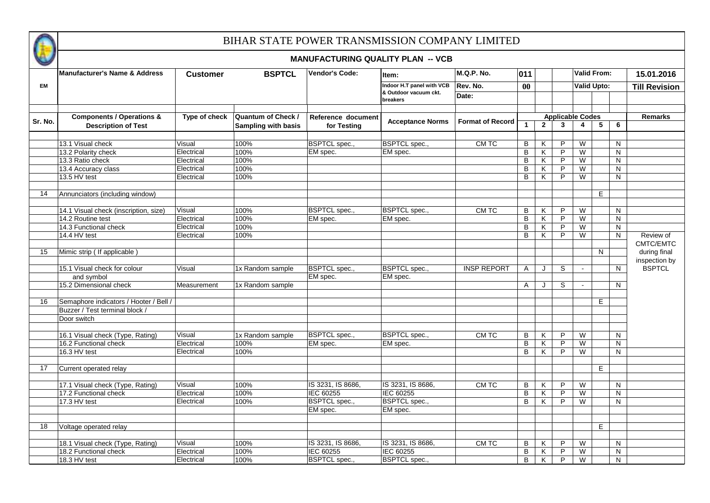

|         |                                                           |                 |                            | <b>MANUFACTURING QUALITY PLAN -- VCB</b> |                                   |                         |              |                |                         |                         |                    |                      |
|---------|-----------------------------------------------------------|-----------------|----------------------------|------------------------------------------|-----------------------------------|-------------------------|--------------|----------------|-------------------------|-------------------------|--------------------|----------------------|
|         | <b>Manufacturer's Name &amp; Address</b>                  | <b>Customer</b> | <b>BSPTCL</b>              | <b>Vendor's Code:</b>                    | ltem:                             | <b>M.Q.P. No.</b>       | 011          |                |                         |                         | <b>Valid From:</b> | 15.01.2016           |
| EM      |                                                           |                 |                            |                                          | Indoor H.T panel with VCB         | Rev. No.                | $\bf{00}$    |                |                         | <b>Valid Upto:</b>      |                    | <b>Till Revision</b> |
|         |                                                           |                 |                            |                                          | & Outdoor vacuum ckt.<br>breakers | Date:                   |              |                |                         |                         |                    |                      |
|         | <b>Components / Operations &amp;</b>                      | Type of check   | <b>Quantum of Check /</b>  | Reference document                       |                                   |                         |              |                | <b>Applicable Codes</b> |                         |                    | <b>Remarks</b>       |
| Sr. No. | <b>Description of Test</b>                                |                 | <b>Sampling with basis</b> | for Testing                              | <b>Acceptance Norms</b>           | <b>Format of Record</b> | $\mathbf{1}$ | $\mathbf{2}$   | $\mathbf{3}$            | $\overline{\mathbf{4}}$ | 5<br>6             |                      |
|         |                                                           |                 |                            |                                          |                                   |                         |              |                |                         |                         |                    |                      |
|         | 13.1 Visual check                                         | Visual          | 100%                       | BSPTCL spec.,                            | <b>BSPTCL</b> spec.,              | CM TC                   | В            | ĸ              | P                       | W                       | N                  |                      |
|         | 13.2 Polarity check                                       | Electrical      | 100%                       | EM spec.                                 | EM spec.                          |                         | B            | Κ              | P                       | W                       | N                  |                      |
|         | 13.3 Ratio check                                          | Electrical      | 100%                       |                                          |                                   |                         | В            | Κ              | P                       | W                       | N                  |                      |
|         | 13.4 Accuracy class                                       | Electrical      | 100%                       |                                          |                                   |                         | В            | Κ              | P                       | W                       | N                  |                      |
|         | 13.5 HV test                                              | Electrical      | 100%                       |                                          |                                   |                         | B            | K              | P                       | W                       | N                  |                      |
| 14      | Annunciators (including window)                           |                 |                            |                                          |                                   |                         |              |                |                         |                         | Е                  |                      |
|         |                                                           |                 |                            |                                          |                                   |                         |              |                |                         |                         |                    |                      |
|         | 14.1 Visual check (inscription, size)                     | Visual          | 100%                       | <b>BSPTCL</b> spec.,                     | <b>BSPTCL</b> spec.,              | CM TC                   | В            | Κ              | P                       | $\overline{W}$          | N.                 |                      |
|         | 14.2 Routine test                                         | Electrical      | 100%                       | EM spec.                                 | EM spec.                          |                         | В            | K              | P                       | W                       | N.                 |                      |
|         | 14.3 Functional check                                     | Electrical      | 100%                       |                                          |                                   |                         | В            | Κ              | P                       | W                       | $\mathsf{N}$       |                      |
|         | 14.4 HV test                                              | Electrical      | 100%                       |                                          |                                   |                         | B            | K              | P                       | W                       | N                  | Review of            |
|         |                                                           |                 |                            |                                          |                                   |                         |              |                |                         |                         |                    | CMTC/EMTC            |
| 15      | Mimic strip ( If applicable )                             |                 |                            |                                          |                                   |                         |              |                |                         |                         | N                  | during final         |
|         |                                                           |                 |                            |                                          |                                   |                         |              |                |                         |                         |                    | inspection by        |
|         | 15.1 Visual check for colour                              | Visual          | 1x Random sample           | <b>BSPTCL</b> spec.,                     | <b>BSPTCL</b> spec.,              | <b>INSP REPORT</b>      | A            | J              | S                       |                         | $\mathsf{N}$       | <b>BSPTCL</b>        |
|         | and symbol                                                |                 |                            | EM spec.                                 | EM spec.                          |                         |              |                |                         |                         |                    |                      |
|         | 15.2 Dimensional check                                    | Measurement     | 1x Random sample           |                                          |                                   |                         | A            | J              | S                       |                         | N.                 |                      |
|         |                                                           |                 |                            |                                          |                                   |                         |              |                |                         |                         |                    |                      |
| 16      | Semaphore indicators / Hooter / Bell /                    |                 |                            |                                          |                                   |                         |              |                |                         |                         | Е                  |                      |
|         | Buzzer / Test terminal block /                            |                 |                            |                                          |                                   |                         |              |                |                         |                         |                    |                      |
|         | Door switch                                               |                 |                            |                                          |                                   |                         |              |                |                         |                         |                    |                      |
|         |                                                           |                 |                            |                                          |                                   |                         |              |                |                         |                         |                    |                      |
|         | 16.1 Visual check (Type, Rating)<br>16.2 Functional check | Visual          | 1x Random sample           | <b>BSPTCL</b> spec.,                     | <b>BSPTCL</b> spec.,              | CM TC                   | В            | ĸ              | P<br>P                  | W                       | N.                 |                      |
|         |                                                           | Electrical      | 100%                       | EM spec.                                 | EM spec.                          |                         | В            | Κ              |                         | W                       | N.                 |                      |
|         | 16.3 HV test                                              | Electrical      | 100%                       |                                          |                                   |                         | B            | Κ              | P                       | W                       | N                  |                      |
| 17      | Current operated relay                                    |                 |                            |                                          |                                   |                         |              |                |                         |                         | Е                  |                      |
|         |                                                           |                 |                            |                                          |                                   |                         |              |                |                         |                         |                    |                      |
|         | 17.1 Visual check (Type, Rating)                          | Visual          | 100%                       | IS 3231, IS 8686,                        | IS 3231, IS 8686,                 | CM TC                   | B            | Κ              | P                       | W                       | N                  |                      |
|         | 17.2 Functional check                                     | Electrical      | 100%                       | <b>IEC 60255</b>                         | <b>IEC 60255</b>                  |                         | В            | Κ              | P                       | W                       | N                  |                      |
|         | 17.3 HV test                                              | Electrical      | 100%                       | <b>BSPTCL</b> spec.,                     | <b>BSPTCL</b> spec.,              |                         | B            | Κ              | P                       | W                       | N                  |                      |
|         |                                                           |                 |                            | EM spec.                                 | EM spec.                          |                         |              |                |                         |                         |                    |                      |
|         |                                                           |                 |                            |                                          |                                   |                         |              |                |                         |                         |                    |                      |
| 18      | Voltage operated relay                                    |                 |                            |                                          |                                   |                         |              |                |                         |                         | E                  |                      |
|         |                                                           |                 |                            |                                          |                                   |                         |              |                |                         |                         |                    |                      |
|         | 18.1 Visual check (Type, Rating)                          | Visual          | 100%                       | IS 3231, IS 8686,                        | IS 3231, IS 8686,                 | CM TC                   | В            | K              | P                       | W                       | N.                 |                      |
|         | 18.2 Functional check                                     | Electrical      | 100%                       | IEC 60255                                | IEC 60255                         |                         | B            | Κ              | P                       | W                       | N                  |                      |
|         | 18.3 HV test                                              | Electrical      | 100%                       | <b>BSPTCL</b> spec.,                     | <b>BSPTCL</b> spec.,              |                         | B            | $\overline{K}$ | P                       | W                       | N                  |                      |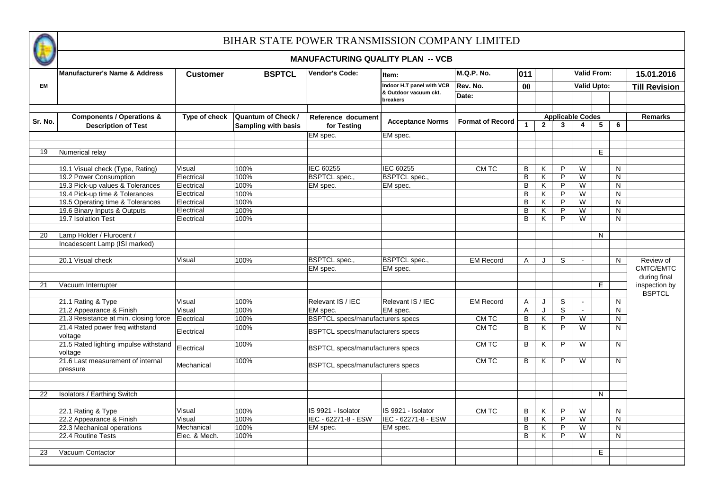

|           | <b>MANUFACTURING QUALITY PLAN -- VCB</b> |                 |                           |                                         |                                   |                         |                      |                |                         |              |             |                      |  |
|-----------|------------------------------------------|-----------------|---------------------------|-----------------------------------------|-----------------------------------|-------------------------|----------------------|----------------|-------------------------|--------------|-------------|----------------------|--|
|           | <b>Manufacturer's Name &amp; Address</b> | <b>Customer</b> | <b>BSPTCL</b>             | <b>Vendor's Code:</b>                   | Item:                             | M.Q.P. No.              | 011                  |                |                         |              | Valid From: | 15.01.2016           |  |
| <b>EM</b> |                                          |                 |                           |                                         | Indoor H.T panel with VCB         | Rev. No.                | $\bf{00}$            |                |                         | Valid Upto:  |             | <b>Till Revision</b> |  |
|           |                                          |                 |                           |                                         | & Outdoor vacuum ckt.<br>breakers | Date:                   |                      |                |                         |              |             |                      |  |
|           | <b>Components / Operations &amp;</b>     | Type of check   | <b>Quantum of Check /</b> | Reference document                      |                                   |                         |                      |                | <b>Applicable Codes</b> |              |             | <b>Remarks</b>       |  |
| Sr. No.   | <b>Description of Test</b>               |                 | Sampling with basis       | for Testing                             | <b>Acceptance Norms</b>           | <b>Format of Record</b> | $\blacktriangleleft$ | $\overline{2}$ | $\mathbf{3}$            | 4            | 5<br>6      |                      |  |
|           |                                          |                 |                           | EM spec.                                | EM spec.                          |                         |                      |                |                         |              |             |                      |  |
|           |                                          |                 |                           |                                         |                                   |                         |                      |                |                         |              |             |                      |  |
| 19        | Numerical relay                          |                 |                           |                                         |                                   |                         |                      |                |                         |              | E           |                      |  |
|           | 19.1 Visual check (Type, Rating)         | Visual          | 100%                      | IEC 60255                               | IEC 60255                         | CM TC                   | B                    | Κ              | P                       | W            | N           |                      |  |
|           | 19.2 Power Consumption                   | Electrical      | 100%                      | <b>BSPTCL</b> spec.,                    | <b>BSPTCL</b> spec.,              |                         | B                    | Κ              | P                       | W            | N           |                      |  |
|           | 19.3 Pick-up values & Tolerances         | Electrical      | 100%                      | EM spec.                                | EM spec.                          |                         | B                    | Κ              | P                       | W            | N           |                      |  |
|           | 19.4 Pick-up time & Tolerances           | Electrical      | 100%                      |                                         |                                   |                         | B                    | Κ              | P                       | W            | N           |                      |  |
|           | 19.5 Operating time & Tolerances         | Electrical      | 100%                      |                                         |                                   |                         | B                    | Κ              | P                       | W            | N           |                      |  |
|           | 19.6 Binary Inputs & Outputs             | Electrical      | 100%                      |                                         |                                   |                         | B                    | Κ              | P                       | W            | N           |                      |  |
|           | 19.7 Isolation Test                      | Electrical      | 100%                      |                                         |                                   |                         | B                    | K              | P                       | W            | N           |                      |  |
|           |                                          |                 |                           |                                         |                                   |                         |                      |                |                         |              |             |                      |  |
| 20        | Lamp Holder / Flurocent /                |                 |                           |                                         |                                   |                         |                      |                |                         |              | N           |                      |  |
|           | Incadescent Lamp (ISI marked)            |                 |                           |                                         |                                   |                         |                      |                |                         |              |             |                      |  |
|           |                                          |                 |                           |                                         |                                   |                         |                      |                |                         |              |             |                      |  |
|           | 20.1 Visual check                        | Visual          | 100%                      | <b>BSPTCL</b> spec.,                    | <b>BSPTCL</b> spec.,              | <b>EM Record</b>        | A                    | J              | S                       | $\mathbf{u}$ | N           | Review of            |  |
|           |                                          |                 |                           | EM spec.                                | EM spec.                          |                         |                      |                |                         |              |             | CMTC/EMTC            |  |
|           |                                          |                 |                           |                                         |                                   |                         |                      |                |                         |              |             | during final         |  |
| 21        | Vacuum Interrupter                       |                 |                           |                                         |                                   |                         |                      |                |                         |              | E           | inspection by        |  |
|           |                                          |                 |                           |                                         |                                   |                         |                      |                |                         |              |             | <b>BSPTCL</b>        |  |
|           | 21.1 Rating & Type                       | Visual          | 100%                      | Relevant IS / IEC                       | Relevant IS / IEC                 | <b>EM Record</b>        | A                    | J              | S                       | $\sim$       | N           |                      |  |
|           | 21.2 Appearance & Finish                 | Visual          | 100%                      | EM spec.                                | EM spec.                          |                         | A                    | J              | S                       | $\mathbf{r}$ | N.          |                      |  |
|           | 21.3 Resistance at min. closing force    | Electrical      | 100%                      | <b>BSPTCL</b> specs/manufacturers specs |                                   | CM TC                   | $\sf B$              | K              | P                       | W            | N           |                      |  |
|           | 21.4 Rated power freq withstand          |                 | 100%                      |                                         |                                   | <b>CMTC</b>             | $\, {\bf B}$         | Κ              | $\overline{P}$          | W            | N           |                      |  |
|           | voltage                                  | Electrical      |                           | <b>BSPTCL specs/manufacturers specs</b> |                                   |                         |                      |                |                         |              |             |                      |  |
|           | 21.5 Rated lighting impulse withstand    | Electrical      | 100%                      |                                         |                                   | CM TC                   | B                    | Κ              | P                       | W            | N.          |                      |  |
|           | voltage                                  |                 |                           | <b>BSPTCL specs/manufacturers specs</b> |                                   |                         |                      |                |                         |              |             |                      |  |
|           | 21.6 Last measurement of internal        |                 | 100%                      |                                         |                                   | CM TC                   | B                    | K              | P                       | W            | N           |                      |  |
|           | pressure                                 | Mechanical      |                           | <b>BSPTCL specs/manufacturers specs</b> |                                   |                         |                      |                |                         |              |             |                      |  |
|           |                                          |                 |                           |                                         |                                   |                         |                      |                |                         |              |             |                      |  |
|           |                                          |                 |                           |                                         |                                   |                         |                      |                |                         |              |             |                      |  |
| 22        | <b>Isolators / Earthing Switch</b>       |                 |                           |                                         |                                   |                         |                      |                |                         |              | N           |                      |  |
|           |                                          |                 |                           |                                         |                                   |                         |                      |                |                         |              |             |                      |  |
|           | 22.1 Rating & Type                       | Visual          | 100%                      | IS 9921 - Isolator                      | IS 9921 - Isolator                | CM TC                   | B                    | Κ              | P                       | W            | N           |                      |  |
|           | 22.2 Appearance & Finish                 | Visual          | 100%                      | IEC - 62271-8 - ESW                     | IEC - 62271-8 - ESW               |                         | $\overline{B}$       | Κ              | P                       | W            | N           |                      |  |
|           | 22.3 Mechanical operations               | Mechanical      | 100%                      | EM spec.                                | EM spec.                          |                         | B                    | K              | $\overline{P}$          | W            | N.          |                      |  |
|           | 22.4 Routine Tests                       | Elec. & Mech.   | 100%                      |                                         |                                   |                         | B                    | Κ              | P                       | W            | N           |                      |  |
|           |                                          |                 |                           |                                         |                                   |                         |                      |                |                         |              |             |                      |  |
| 23        | Vacuum Contactor                         |                 |                           |                                         |                                   |                         |                      |                |                         |              | E           |                      |  |
|           |                                          |                 |                           |                                         |                                   |                         |                      |                |                         |              |             |                      |  |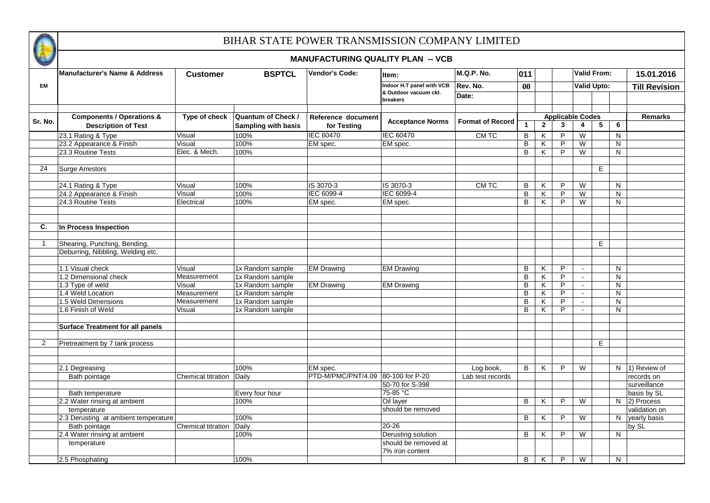

|                | <b>Manufacturer's Name &amp; Address</b> | <b>Customer</b>    | <b>BSPTCL</b>              | <b>Vendor's Code:</b>              | ltem:                             | M.Q.P. No.              | 011                     |              |   |                         | <b>Valid From:</b> | 15.01.2016           |
|----------------|------------------------------------------|--------------------|----------------------------|------------------------------------|-----------------------------------|-------------------------|-------------------------|--------------|---|-------------------------|--------------------|----------------------|
| EM             |                                          |                    |                            |                                    | Indoor H.T panel with VCB         | Rev. No.                | $\bf{00}$               |              |   |                         | <b>Valid Upto:</b> | <b>Till Revision</b> |
|                |                                          |                    |                            |                                    | & Outdoor vacuum ckt.<br>breakers | Date:                   |                         |              |   |                         |                    |                      |
|                | <b>Components / Operations &amp;</b>     | Type of check      | Quantum of Check /         | Reference document                 |                                   |                         |                         |              |   | <b>Applicable Codes</b> |                    | <b>Remarks</b>       |
| Sr. No.        | <b>Description of Test</b>               |                    | <b>Sampling with basis</b> | for Testing                        | <b>Acceptance Norms</b>           | <b>Format of Record</b> | $\overline{\mathbf{1}}$ | $\mathbf{2}$ | 3 | 4                       | 5<br>6             |                      |
|                | 23.1 Rating & Type                       | Visual             | 100%                       | <b>IEC 60470</b>                   | <b>IEC 60470</b>                  | CM TC                   | B                       | Κ            | P | W                       | N                  |                      |
|                | 23.2 Appearance & Finish                 | Visual             | 100%                       | EM spec.                           | EM spec.                          |                         | B                       | Κ            | P | W                       | N                  |                      |
|                | 23.3 Routine Tests                       | Elec. & Mech.      | 100%                       |                                    |                                   |                         | B                       | K            | P | W                       | $\mathsf{N}$       |                      |
|                |                                          |                    |                            |                                    |                                   |                         |                         |              |   |                         |                    |                      |
| 24             | Surge Arrestors                          |                    |                            |                                    |                                   |                         |                         |              |   |                         | E                  |                      |
|                | 24.1 Rating & Type                       | Visual             | 100%                       | IS 3070-3                          | IS 3070-3                         | CM TC                   | B                       | Κ            | P | W                       | N                  |                      |
|                | 24.2 Appearance & Finish                 | Visual             | 100%                       | IEC 6099-4                         | IEC 6099-4                        |                         | B                       | Κ            | P | W                       | N                  |                      |
|                | 24.3 Routine Tests                       | Electrical         | 100%                       | EM spec.                           | EM spec.                          |                         | B                       | Κ            | P | W                       | N                  |                      |
|                |                                          |                    |                            |                                    |                                   |                         |                         |              |   |                         |                    |                      |
| C.             | In Process Inspection                    |                    |                            |                                    |                                   |                         |                         |              |   |                         |                    |                      |
|                |                                          |                    |                            |                                    |                                   |                         |                         |              |   |                         |                    |                      |
| -1             | Shearing, Punching, Bending,             |                    |                            |                                    |                                   |                         |                         |              |   |                         | E.                 |                      |
|                | Deburring, Nibbling, Welding etc.        |                    |                            |                                    |                                   |                         |                         |              |   |                         |                    |                      |
|                |                                          |                    |                            |                                    |                                   |                         |                         |              |   |                         |                    |                      |
|                | 1.1 Visual check                         | Visual             | 1x Random sample           | <b>EM Drawing</b>                  | <b>EM Drawing</b>                 |                         | В                       | Κ            | P | $\sim$                  | N                  |                      |
|                | 1.2 Dimensional check                    | Measurement        | 1x Random sample           |                                    |                                   |                         | B                       | Κ            | P | $\mathbf{r}$            | N                  |                      |
|                | 1.3 Type of weld                         | Visual             | 1x Random sample           | <b>EM Drawing</b>                  | <b>EM Drawing</b>                 |                         | B                       | K            | P | $\sim$                  | N                  |                      |
|                | 1.4 Weld Location                        | Measurement        | 1x Random sample           |                                    |                                   |                         | B                       | Κ            | P | $\blacksquare$          | N                  |                      |
|                | 1.5 Weld Dimensions                      | Measurement        | 1x Random sample           |                                    |                                   |                         | В                       | Κ            | P | $\omega$                | N                  |                      |
|                | 1.6 Finish of Weld                       | Visual             | 1x Random sample           |                                    |                                   |                         | B                       | K            | P | $\sim$                  | N                  |                      |
|                | <b>Surface Treatment for all panels</b>  |                    |                            |                                    |                                   |                         |                         |              |   |                         |                    |                      |
|                |                                          |                    |                            |                                    |                                   |                         |                         |              |   |                         |                    |                      |
| $\overline{2}$ | Pretreatment by 7 tank process           |                    |                            |                                    |                                   |                         |                         |              |   |                         | E                  |                      |
|                |                                          |                    |                            |                                    |                                   |                         |                         |              |   |                         |                    |                      |
|                | 2.1 Degreasing                           |                    | 100%                       | EM spec.                           |                                   | Log book,               | B                       | K            | P | W                       |                    | N 1) Review of       |
|                | Bath pointage                            | Chemical titration | Daily                      | PTD-M/PMC/PNT/4.09 80-100 for P-20 |                                   | Lab test records        |                         |              |   |                         |                    | records on           |
|                |                                          |                    |                            |                                    | 50-70 for S-398                   |                         |                         |              |   |                         |                    | surveillance         |
|                | Bath temperature                         |                    | Every four hour            |                                    | 75-85 °C                          |                         |                         |              |   |                         |                    | basis by SL          |
|                | 2.2 Water rinsing at ambient             |                    | 100%                       |                                    | Oil layer                         |                         | B                       | Κ            | P | W                       |                    | $N$ 2) Process       |
|                | temperature                              |                    |                            |                                    | should be removed                 |                         |                         |              |   |                         |                    | validation on        |
|                | 2.3 Derusting at ambient temperature     |                    | 100%                       |                                    |                                   |                         | B                       | K            | P | W                       | N                  | yearly basis         |
|                | Bath pointage                            | Chemical titration | Daily                      |                                    | $20 - 26$                         |                         |                         |              |   |                         |                    | by SL                |
|                | 2.4 Water rinsing at ambient             |                    | 100%                       |                                    | Derusting solution                |                         | B                       | K            | P | W                       | N                  |                      |
|                | temperature                              |                    |                            |                                    | should be removed at              |                         |                         |              |   |                         |                    |                      |
|                |                                          |                    |                            |                                    | 7% iron content                   |                         |                         |              |   |                         |                    |                      |
|                | 2.5 Phosphating                          |                    | 100%                       |                                    |                                   |                         | B                       | K            | P | W                       | N                  |                      |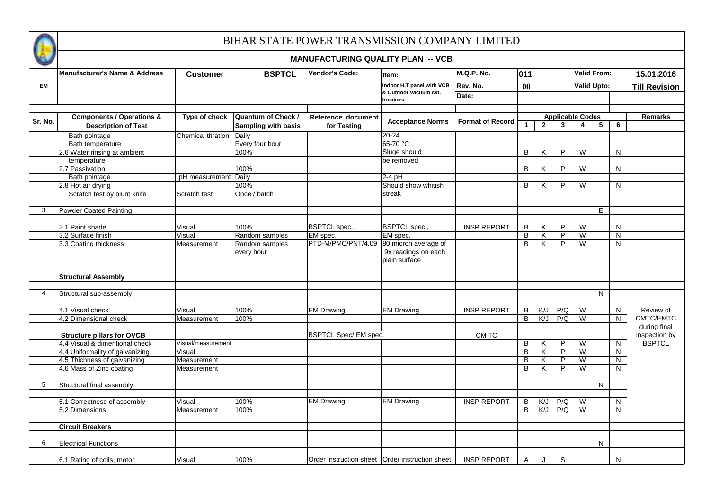

|                | <b>MANUFACTURING QUALITY PLAN -- VCB</b>                           |                    |                                           |                                                   |                                   |                         |              |                                |                                         |                         |                    |    |                           |
|----------------|--------------------------------------------------------------------|--------------------|-------------------------------------------|---------------------------------------------------|-----------------------------------|-------------------------|--------------|--------------------------------|-----------------------------------------|-------------------------|--------------------|----|---------------------------|
|                | <b>Manufacturer's Name &amp; Address</b>                           | <b>Customer</b>    | <b>BSPTCL</b>                             | <b>Vendor's Code:</b>                             | Item:                             | <b>M.Q.P. No.</b>       | 011          |                                |                                         |                         | <b>Valid From:</b> |    | 15.01.2016                |
| <b>EM</b>      |                                                                    |                    |                                           |                                                   | Indoor H.T panel with VCB         | Rev. No.                | $\bf{00}$    |                                |                                         |                         | <b>Valid Upto:</b> |    | <b>Till Revision</b>      |
|                |                                                                    |                    |                                           |                                                   | & Outdoor vacuum ckt.<br>breakers | Date:                   |              |                                |                                         |                         |                    |    |                           |
|                |                                                                    |                    |                                           |                                                   |                                   |                         |              |                                |                                         |                         |                    |    |                           |
| Sr. No.        | <b>Components / Operations &amp;</b><br><b>Description of Test</b> | Type of check      | Quantum of Check /<br>Sampling with basis | Reference document<br>for Testing                 | <b>Acceptance Norms</b>           | <b>Format of Record</b> | $\mathbf{1}$ | $\overline{2}$                 | <b>Applicable Codes</b><br>$\mathbf{3}$ | $\overline{\mathbf{4}}$ | 5                  | 6  | <b>Remarks</b>            |
|                | Bath pointage                                                      | Chemical titration | Daily                                     |                                                   | $20 - 24$                         |                         |              |                                |                                         |                         |                    |    |                           |
|                | Bath temperature                                                   |                    | Every four hour                           |                                                   | 65-70 °C                          |                         |              |                                |                                         |                         |                    |    |                           |
|                | 2.6 Water rinsing at ambient                                       |                    | 100%                                      |                                                   | Sluge should                      |                         | B            | K                              | P.                                      | W                       |                    | N  |                           |
|                | temperature                                                        |                    |                                           |                                                   | be removed                        |                         |              |                                |                                         |                         |                    |    |                           |
|                | 2.7 Passivation                                                    |                    | 100%                                      |                                                   |                                   |                         | B            | Κ                              | P.                                      | W                       |                    | N  |                           |
|                | Bath pointage                                                      | pH measurement     | Daily                                     |                                                   | $2-4$ pH                          |                         |              |                                |                                         |                         |                    |    |                           |
|                | 2.8 Hot air drying                                                 |                    | 100%                                      |                                                   | Should show whitish               |                         | B            | K                              | P                                       | W                       |                    | N  |                           |
|                | Scratch test by blunt knife                                        | Scratch test       | Once / batch                              |                                                   | streak                            |                         |              |                                |                                         |                         |                    |    |                           |
| 3              | Powder Coated Painting                                             |                    |                                           |                                                   |                                   |                         |              |                                |                                         |                         | Е                  |    |                           |
|                |                                                                    |                    |                                           |                                                   |                                   |                         |              |                                |                                         |                         |                    |    |                           |
|                | 3.1 Paint shade                                                    | Visual             | 100%                                      | <b>BSPTCL</b> spec.,                              | <b>BSPTCL</b> spec.,              | <b>INSP REPORT</b>      | В            | K                              | P                                       | W                       |                    | N  |                           |
|                | 3.2 Surface finish                                                 | Visual             | Random samples                            | EM spec.                                          | EM spec.                          |                         | В            | Κ                              | P                                       | W                       |                    | N  |                           |
|                | 3.3 Coating thickness                                              | Measurement        | Random samples                            | PTD-M/PMC/PNT/4.09                                | 80 micron average of              |                         | B            | K                              | P                                       | W                       |                    | N  |                           |
|                |                                                                    |                    | every hour                                |                                                   | 9x readings on each               |                         |              |                                |                                         |                         |                    |    |                           |
|                |                                                                    |                    |                                           |                                                   | plain surface                     |                         |              |                                |                                         |                         |                    |    |                           |
|                |                                                                    |                    |                                           |                                                   |                                   |                         |              |                                |                                         |                         |                    |    |                           |
|                | <b>Structural Assembly</b>                                         |                    |                                           |                                                   |                                   |                         |              |                                |                                         |                         |                    |    |                           |
|                |                                                                    |                    |                                           |                                                   |                                   |                         |              |                                |                                         |                         |                    |    |                           |
| $\overline{4}$ | Structural sub-assembly                                            |                    |                                           |                                                   |                                   |                         |              |                                |                                         |                         | N                  |    |                           |
|                |                                                                    |                    |                                           |                                                   |                                   |                         |              |                                |                                         |                         |                    |    |                           |
|                | 4.1 Visual check                                                   | Visual             | 100%                                      | <b>EM Drawing</b>                                 | <b>EM Drawing</b>                 | <b>INSP REPORT</b>      | В            | $\overline{\text{K}/\text{L}}$ | P/Q                                     | W                       |                    | N  | Review of                 |
|                | 4.2 Dimensional check                                              | Measurement        | 100%                                      |                                                   |                                   |                         | B            | $\overline{\overline{\xi}}$    | P/Q                                     | W                       |                    | N  | CMTC/EMTC<br>during final |
|                | <b>Structure pillars for OVCB</b>                                  |                    |                                           | <b>BSPTCL Spec/ EM spec.</b>                      |                                   | CM TC                   |              |                                |                                         |                         |                    |    | inspection by             |
|                | 4.4 Visual & dimentional check                                     | Visual/measurement |                                           |                                                   |                                   |                         | В            | K                              | P                                       | W                       |                    | N  | <b>BSPTCL</b>             |
|                | 4.4 Uniformality of galvanizing                                    | Visual             |                                           |                                                   |                                   |                         | В            | Κ                              | P                                       | W                       |                    | N  |                           |
|                | 4.5 Thichness of galvanizing                                       | Measurement        |                                           |                                                   |                                   |                         | B            | K                              | P                                       | W                       |                    | N  |                           |
|                | 4.6 Mass of Zinc coating                                           | Measurement        |                                           |                                                   |                                   |                         | В            | K                              | P                                       | W                       |                    | N. |                           |
|                |                                                                    |                    |                                           |                                                   |                                   |                         |              |                                |                                         |                         |                    |    |                           |
| 5              | Structural final assembly                                          |                    |                                           |                                                   |                                   |                         |              |                                |                                         |                         | N                  |    |                           |
|                | 5.1 Correctness of assembly                                        | Visual             | 100%                                      | <b>EM Drawing</b>                                 | <b>EM Drawing</b>                 | <b>INSP REPORT</b>      | В            | K/J                            | P/Q                                     | W                       |                    | N. |                           |
|                | 5.2 Dimensions                                                     | Measurement        | 100%                                      |                                                   |                                   |                         | B            | K/J                            | P/Q                                     | W                       |                    | N  |                           |
|                |                                                                    |                    |                                           |                                                   |                                   |                         |              |                                |                                         |                         |                    |    |                           |
|                | <b>Circuit Breakers</b>                                            |                    |                                           |                                                   |                                   |                         |              |                                |                                         |                         |                    |    |                           |
|                |                                                                    |                    |                                           |                                                   |                                   |                         |              |                                |                                         |                         |                    |    |                           |
| 6              | <b>Electrical Functions</b>                                        |                    |                                           |                                                   |                                   |                         |              |                                |                                         |                         | N                  |    |                           |
|                | 6.1 Rating of coils, motor                                         | Visual             | 100%                                      | Order instruction sheet   Order instruction sheet |                                   | <b>INSP REPORT</b>      | A            |                                | S                                       |                         |                    | N  |                           |
|                |                                                                    |                    |                                           |                                                   |                                   |                         |              |                                |                                         |                         |                    |    |                           |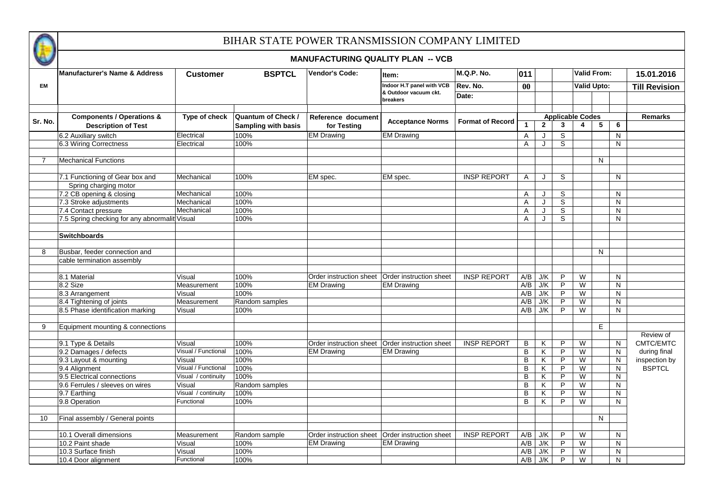

|           | Manufacturer's Name & Address                 | <b>Customer</b>     | <b>BSPTCL</b>       | <b>Vendor's Code:</b>                             | Item:                             | M.Q.P. No.              | 011          |              |                         | <b>Valid From:</b>      |    |              | 15.01.2016           |
|-----------|-----------------------------------------------|---------------------|---------------------|---------------------------------------------------|-----------------------------------|-------------------------|--------------|--------------|-------------------------|-------------------------|----|--------------|----------------------|
| <b>EM</b> |                                               |                     |                     |                                                   | Indoor H.T panel with VCB         | Rev. No.                | 00           |              |                         | <b>Valid Upto:</b>      |    |              | <b>Till Revision</b> |
|           |                                               |                     |                     |                                                   | & Outdoor vacuum ckt.<br>breakers | Date:                   |              |              |                         |                         |    |              |                      |
|           | <b>Components / Operations &amp;</b>          | Type of check       | Quantum of Check /  | Reference document                                |                                   |                         |              |              | <b>Applicable Codes</b> |                         |    |              | <b>Remarks</b>       |
| Sr. No.   | <b>Description of Test</b>                    |                     | Sampling with basis | for Testing                                       | <b>Acceptance Norms</b>           | <b>Format of Record</b> | $\mathbf{1}$ | $\mathbf{2}$ | $\mathbf{3}$            | $\overline{\mathbf{4}}$ | 5  | 6            |                      |
|           | 6.2 Auxiliary switch                          | Electrical          | 100%                | <b>EM Drawing</b>                                 | <b>EM Drawing</b>                 |                         | Α            | J            | $\overline{s}$          |                         |    | $\mathsf{N}$ |                      |
|           | 6.3 Wiring Correctness                        | Electrical          | 100%                |                                                   |                                   |                         | A            | J            | S                       |                         |    | N            |                      |
|           |                                               |                     |                     |                                                   |                                   |                         |              |              |                         |                         |    |              |                      |
| 7         | <b>Mechanical Functions</b>                   |                     |                     |                                                   |                                   |                         |              |              |                         |                         | N  |              |                      |
|           |                                               |                     |                     |                                                   |                                   |                         |              |              |                         |                         |    |              |                      |
|           | 7.1 Functioning of Gear box and               | Mechanical          | 100%                | EM spec.                                          | EM spec.                          | <b>INSP REPORT</b>      | Α            | J            | S                       |                         |    | N            |                      |
|           | Spring charging motor                         |                     |                     |                                                   |                                   |                         |              |              |                         |                         |    |              |                      |
|           | 7.2 CB opening & closing                      | Mechanical          | 100%                |                                                   |                                   |                         | A            | J            | $\overline{s}$          |                         |    | $\mathsf{N}$ |                      |
|           | 7.3 Stroke adjustments                        | Mechanical          | 100%                |                                                   |                                   |                         | Α            | J            | S                       |                         |    | N            |                      |
|           | 7.4 Contact pressure                          | Mechanical          | 100%                |                                                   |                                   |                         | Α            |              | S                       |                         |    | N            |                      |
|           | 7.5 Spring checking for any abnormalit Visual |                     | 100%                |                                                   |                                   |                         | A            | $\cdot$      | S                       |                         |    | N            |                      |
|           | <b>Switchboards</b>                           |                     |                     |                                                   |                                   |                         |              |              |                         |                         |    |              |                      |
|           |                                               |                     |                     |                                                   |                                   |                         |              |              |                         |                         |    |              |                      |
| 8         | Busbar, feeder connection and                 |                     |                     |                                                   |                                   |                         |              |              |                         |                         | N  |              |                      |
|           | cable termination assembly                    |                     |                     |                                                   |                                   |                         |              |              |                         |                         |    |              |                      |
|           |                                               |                     |                     |                                                   |                                   |                         |              |              |                         |                         |    |              |                      |
|           | 8.1 Material                                  | Visual              | 100%                | Order instruction sheet   Order instruction sheet |                                   | <b>INSP REPORT</b>      | A/B          | J/K          | P                       | W                       |    | N.           |                      |
|           | $8.2$ Size                                    | Measurement         | 100%                | <b>EM Drawing</b>                                 | <b>EM Drawing</b>                 |                         | A/B          | J/K          | P                       | $\overline{W}$          |    | $\mathsf{N}$ |                      |
|           | 8.3 Arrangement                               | Visual              | 100%                |                                                   |                                   |                         | A/B          | J/K          | P                       | W                       |    | N            |                      |
|           | 8.4 Tightening of joints                      | Measurement         | Random samples      |                                                   |                                   |                         | A/B          | J/K          | P                       | W                       |    | N            |                      |
|           | 8.5 Phase identification marking              | Visual              | 100%                |                                                   |                                   |                         | A/B          | J/K          | $\overline{P}$          | W                       |    | N            |                      |
|           |                                               |                     |                     |                                                   |                                   |                         |              |              |                         |                         |    |              |                      |
| 9         | Equipment mounting & connections              |                     |                     |                                                   |                                   |                         |              |              |                         |                         | E. |              |                      |
|           |                                               |                     |                     |                                                   |                                   |                         |              |              |                         |                         |    |              | Review of            |
|           | 9.1 Type & Details                            | Visual              | 100%                | Order instruction sheet   Order instruction sheet |                                   | <b>INSP REPORT</b>      | В            | Κ            | P                       | W                       |    | N            | CMTC/EMTC            |
|           | 9.2 Damages / defects                         | Visual / Functional | 100%                | <b>EM Drawing</b>                                 | <b>EM Drawing</b>                 |                         | B            | Κ            | P                       | W                       |    | N            | during final         |
|           | 9.3 Layout & mounting                         | Visual              | 100%                |                                                   |                                   |                         | B            | K            | P                       | W                       |    | N            | inspection by        |
|           | 9.4 Alignment                                 | Visual / Functional | 100%                |                                                   |                                   |                         | B            | Κ            | P                       | W                       |    | N            | <b>BSPTCL</b>        |
|           | 9.5 Electrical connections                    | Visual / continuity | 100%                |                                                   |                                   |                         | B            | K            | P                       | W                       |    | N            |                      |
|           | 9.6 Ferrules / sleeves on wires               | Visual              | Random samples      |                                                   |                                   |                         | B            | K            | P                       | W                       |    | $\mathsf{N}$ |                      |
|           | 9.7 Earthing                                  | Visual / continuity | 100%                |                                                   |                                   |                         | B            | K            | P                       | W                       |    | N            |                      |
|           | 9.8 Operation                                 | Functional          | 100%                |                                                   |                                   |                         | B            | K            | P                       | W                       |    | N            |                      |
|           |                                               |                     |                     |                                                   |                                   |                         |              |              |                         |                         |    |              |                      |
| 10        | Final assembly / General points               |                     |                     |                                                   |                                   |                         |              |              |                         |                         | N  |              |                      |
|           | 10.1 Overall dimensions                       | Measurement         | Random sample       | Order instruction sheet   Order instruction sheet |                                   | <b>INSP REPORT</b>      | A/B          | J/K          | P                       | W                       |    | N            |                      |
|           | 10.2 Paint shade                              | Visual              | 100%                | <b>EM Drawing</b>                                 | <b>EM Drawing</b>                 |                         | A/B          | J/K          | P                       | W                       |    | N            |                      |
|           | 10.3 Surface finish                           | Visual              | 100%                |                                                   |                                   |                         | A/B          | J/K          | $\mathsf{P}$            | W                       |    | N            |                      |
|           | 10.4 Door alignment                           | Functional          | 100%                |                                                   |                                   |                         | A/B          | J/K          | P                       | W                       |    | N.           |                      |
|           |                                               |                     |                     |                                                   |                                   |                         |              |              |                         |                         |    |              |                      |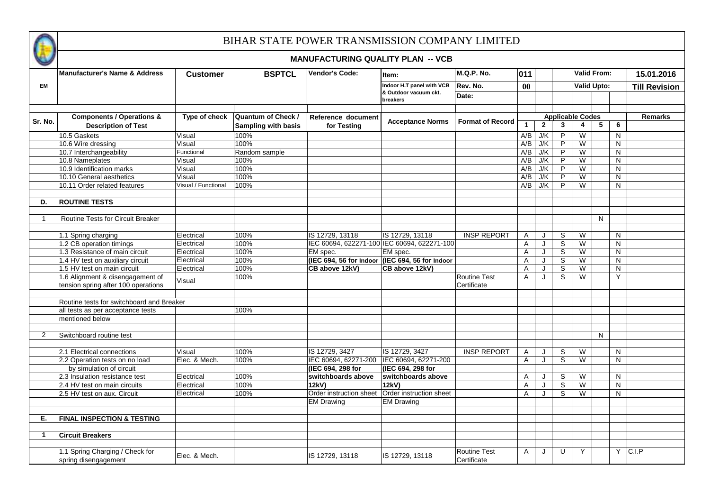

|             | <b>Manufacturer's Name &amp; Address</b>                                | <b>Customer</b>     | <b>BSPTCL</b>                                           | <b>Vendor's Code:</b>                           | Item:                             | M.Q.P. No.                         | 011          |              |                |                                                    | <b>Valid From:</b> | 15.01.2016           |
|-------------|-------------------------------------------------------------------------|---------------------|---------------------------------------------------------|-------------------------------------------------|-----------------------------------|------------------------------------|--------------|--------------|----------------|----------------------------------------------------|--------------------|----------------------|
| <b>EM</b>   |                                                                         |                     |                                                         |                                                 | Indoor H.T panel with VCB         | Rev. No.                           | 00           |              |                |                                                    | <b>Valid Upto:</b> | <b>Till Revision</b> |
|             |                                                                         |                     |                                                         |                                                 | & Outdoor vacuum ckt.<br>breakers | Date:                              |              |              |                |                                                    |                    |                      |
|             |                                                                         |                     |                                                         |                                                 |                                   |                                    |              |              |                |                                                    |                    |                      |
| Sr. No.     | <b>Components / Operations &amp;</b><br><b>Description of Test</b>      | Type of check       | <b>Quantum of Check /</b><br><b>Sampling with basis</b> | Reference document<br>for Testing               | <b>Acceptance Norms</b>           | <b>Format of Record</b>            | $\mathbf{1}$ | $\mathbf{2}$ | 3              | <b>Applicable Codes</b><br>$\overline{\mathbf{4}}$ | 5<br>6             | <b>Remarks</b>       |
|             | 10.5 Gaskets                                                            | Visual              | 100%                                                    |                                                 |                                   |                                    | A/B          | J/K          | $\overline{P}$ | $\overline{\mathsf{W}}$                            | $\mathsf{N}$       |                      |
|             | 10.6 Wire dressing                                                      | Visual              | 100%                                                    |                                                 |                                   |                                    | A/B          | J/K          | P              | W                                                  | N                  |                      |
|             | 10.7 Interchangeability                                                 | Functional          | Random sample                                           |                                                 |                                   |                                    | A/B          | J/K          | P              | W                                                  | $\mathsf{N}$       |                      |
|             | 10.8 Nameplates                                                         | Visual              | 100%                                                    |                                                 |                                   |                                    | A/B          | J/K          | P              | W                                                  | N                  |                      |
|             | 10.9 Identification marks                                               | Visual              | 100%                                                    |                                                 |                                   |                                    | A/B          | J/K          | P              | W                                                  | N                  |                      |
|             | 10.10 General aesthetics                                                | Visual              | 100%                                                    |                                                 |                                   |                                    | A/B          | J/K          | P              | W                                                  | N                  |                      |
|             | 10.11 Order related features                                            | Visual / Functional | 100%                                                    |                                                 |                                   |                                    | A/B          | J/K          | P              | W                                                  | N                  |                      |
| D.          | <b>ROUTINE TESTS</b>                                                    |                     |                                                         |                                                 |                                   |                                    |              |              |                |                                                    |                    |                      |
| -1          | <b>Routine Tests for Circuit Breaker</b>                                |                     |                                                         |                                                 |                                   |                                    |              |              |                |                                                    | N <sub>1</sub>     |                      |
|             |                                                                         |                     |                                                         |                                                 |                                   |                                    |              |              |                |                                                    |                    |                      |
|             | 1.1 Spring charging                                                     | Electrical          | 100%                                                    | IS 12729, 13118                                 | IS 12729, 13118                   | <b>INSP REPORT</b>                 | A            | J            | S              | W                                                  | N                  |                      |
|             | 1.2 CB operation timings                                                | Electrical          | 100%                                                    | IEC 60694, 622271-100 IEC 60694, 622271-100     |                                   |                                    | Α            | J            | S              | W                                                  | N                  |                      |
|             | 1.3 Resistance of main circuit                                          | Electrical          | 100%                                                    | EM spec.                                        | EM spec.                          |                                    | A            | $\mathbf{I}$ | S              | W                                                  | N                  |                      |
|             | 1.4 HV test on auxiliary circuit                                        | Electrical          | 100%                                                    | (IEC 694, 56 for Indoor (IEC 694, 56 for Indoor |                                   |                                    | A            |              | S              | W                                                  | N                  |                      |
|             | 1.5 HV test on main circuit                                             | Electrical          | 100%                                                    | CB above 12kV)                                  | CB above 12kV)                    |                                    | Α            |              | S              | W                                                  | N                  |                      |
|             | 1.6 Alignment & disengagement of<br>tension spring after 100 operations | Visual              | 100%                                                    |                                                 |                                   | <b>Routine Test</b><br>Certificate | A            | $\cdot$      | S              | W                                                  | Y                  |                      |
|             |                                                                         |                     |                                                         |                                                 |                                   |                                    |              |              |                |                                                    |                    |                      |
|             | Routine tests for switchboard and Breaker                               |                     |                                                         |                                                 |                                   |                                    |              |              |                |                                                    |                    |                      |
|             | all tests as per acceptance tests                                       |                     | 100%                                                    |                                                 |                                   |                                    |              |              |                |                                                    |                    |                      |
|             | mentioned below                                                         |                     |                                                         |                                                 |                                   |                                    |              |              |                |                                                    |                    |                      |
| 2           | Switchboard routine test                                                |                     |                                                         |                                                 |                                   |                                    |              |              |                |                                                    | N <sub>1</sub>     |                      |
|             | 2.1 Electrical connections                                              | Visual              | 100%                                                    | IS 12729, 3427                                  | IS 12729, 3427                    | <b>INSP REPORT</b>                 | Α            | $\cdot$      | S              | W                                                  | N                  |                      |
|             | 2.2 Operation tests on no load                                          | Elec. & Mech.       | 100%                                                    | IEC 60694, 62271-200                            | IEC 60694, 62271-200              |                                    | Α            | $\cdot$      | S              | W                                                  | N                  |                      |
|             | by simulation of circuit                                                |                     |                                                         | (IEC 694, 298 for                               | (IEC 694, 298 for                 |                                    |              |              |                |                                                    |                    |                      |
|             | 2.3 Insulation resistance test                                          | Electrical          | 100%                                                    | switchboards above                              | switchboards above                |                                    | A            | $\cdot$      | S              | W                                                  | N                  |                      |
|             | 2.4 HV test on main circuits                                            | Electrical          | 100%                                                    | 12kV)                                           | 12kV)                             |                                    | Α            | J            | $\mathbf S$    | W                                                  | N                  |                      |
|             | 2.5 HV test on aux. Circuit                                             | Electrical          | 100%                                                    | Order instruction sheet                         | Order instruction sheet           |                                    | A            | J            | S              | W                                                  | $\mathsf{N}$       |                      |
|             |                                                                         |                     |                                                         | <b>EM Drawing</b>                               | <b>EM Drawing</b>                 |                                    |              |              |                |                                                    |                    |                      |
|             |                                                                         |                     |                                                         |                                                 |                                   |                                    |              |              |                |                                                    |                    |                      |
| Е.          | <b>FINAL INSPECTION &amp; TESTING</b>                                   |                     |                                                         |                                                 |                                   |                                    |              |              |                |                                                    |                    |                      |
|             |                                                                         |                     |                                                         |                                                 |                                   |                                    |              |              |                |                                                    |                    |                      |
| $\mathbf 1$ | <b>Circuit Breakers</b>                                                 |                     |                                                         |                                                 |                                   |                                    |              |              |                |                                                    |                    |                      |
|             | 1.1 Spring Charging / Check for<br>spring disengagement                 | Elec. & Mech.       |                                                         | IS 12729, 13118                                 | IS 12729, 13118                   | <b>Routine Test</b><br>Certificate | A            |              | U              | Y                                                  |                    | $Y$ C.I.P            |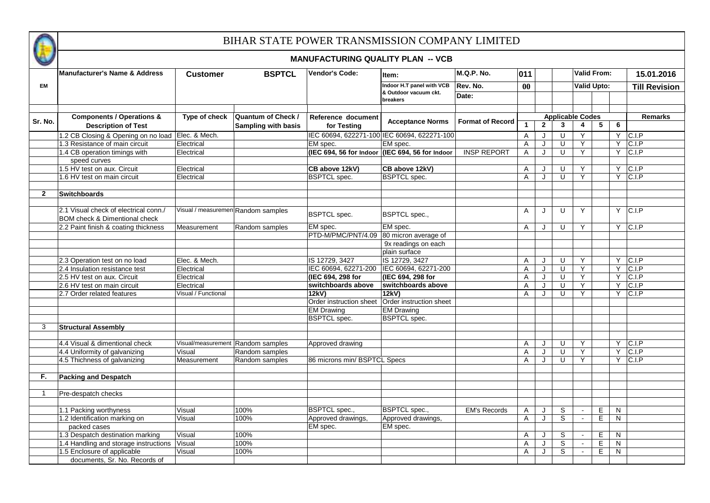

|              | <b>Manufacturer's Name &amp; Address</b>                           | <b>Customer</b>                    | <b>BSPTCL</b>                                           | <b>Vendor's Code:</b>                           | Item:                             | M.Q.P. No.              | 011            |              |              | <b>Valid From:</b>                        |                |    | 15.01.2016           |
|--------------|--------------------------------------------------------------------|------------------------------------|---------------------------------------------------------|-------------------------------------------------|-----------------------------------|-------------------------|----------------|--------------|--------------|-------------------------------------------|----------------|----|----------------------|
| <b>EM</b>    |                                                                    |                                    |                                                         |                                                 | Indoor H.T panel with VCB         | Rev. No.                | 00             |              |              | <b>Valid Upto:</b>                        |                |    | <b>Till Revision</b> |
|              |                                                                    |                                    |                                                         |                                                 | & Outdoor vacuum ckt.<br>breakers | Date:                   |                |              |              |                                           |                |    |                      |
|              |                                                                    |                                    |                                                         |                                                 |                                   |                         |                |              |              |                                           |                |    |                      |
| Sr. No.      | <b>Components / Operations &amp;</b><br><b>Description of Test</b> | Type of check                      | <b>Quantum of Check /</b><br><b>Sampling with basis</b> | Reference document<br>for Testing               | <b>Acceptance Norms</b>           | <b>Format of Record</b> | $\mathbf{1}$   | $\mathbf{2}$ | $\mathbf{3}$ | <b>Applicable Codes</b><br>$\overline{4}$ | 5              | 6  | <b>Remarks</b>       |
|              | 1.2 CB Closing & Opening on no load                                | Elec. & Mech.                      |                                                         | IEC 60694, 622271-100 IEC 60694, 622271-100     |                                   |                         | $\overline{A}$ | J            | U            | Y                                         |                |    | $Y$ C.I.P            |
|              | 1.3 Resistance of main circuit                                     | Electrical                         |                                                         | EM spec.                                        | EM spec.                          |                         | A              | J            | U            | Y                                         |                |    | $Y$ C.I.P            |
|              | 1.4 CB operation timings with                                      | Electrical                         |                                                         | (IEC 694, 56 for Indoor (IEC 694, 56 for Indoor |                                   | <b>INSP REPORT</b>      | A              | J            | $\mathbf{U}$ | Y                                         |                |    | $Y$ C.I.P            |
|              | speed curves                                                       |                                    |                                                         |                                                 |                                   |                         |                |              |              |                                           |                |    |                      |
|              | 1.5 HV test on aux. Circuit                                        | Electrical                         |                                                         | CB above 12kV)                                  | CB above 12kV)                    |                         | Α              | J            | U            | Y                                         |                |    | $Y$ C.I.P            |
|              | 1.6 HV test on main circuit                                        | Electrical                         |                                                         | <b>BSPTCL</b> spec.                             | <b>BSPTCL</b> spec.               |                         | $\overline{A}$ | $\cdot$      | $\mathbf{U}$ | Y                                         |                |    | $Y$ C.I.P            |
|              |                                                                    |                                    |                                                         |                                                 |                                   |                         |                |              |              |                                           |                |    |                      |
| $\mathbf{2}$ | <b>Switchboards</b>                                                |                                    |                                                         |                                                 |                                   |                         |                |              |              |                                           |                |    |                      |
|              |                                                                    |                                    |                                                         |                                                 |                                   |                         |                |              |              |                                           |                |    |                      |
|              | 2.1 Visual check of electrical conn./                              | Visual / measuremen Random samples |                                                         | <b>BSPTCL</b> spec.                             | <b>BSPTCL</b> spec.,              |                         | A              | J            | $\cup$       | Y                                         |                |    | $Y$ C.I.P            |
|              | <b>BOM check &amp; Dimentional check</b>                           |                                    |                                                         |                                                 |                                   |                         |                |              |              |                                           |                |    |                      |
|              | 2.2 Paint finish & coating thickness                               | Measurement                        | Random samples                                          | EM spec.                                        | EM spec.                          |                         | Α              | J            | U            | Y                                         |                |    | $Y$ C.I.P            |
|              |                                                                    |                                    |                                                         | PTD-M/PMC/PNT/4.09                              | 80 micron average of              |                         |                |              |              |                                           |                |    |                      |
|              |                                                                    |                                    |                                                         |                                                 | 9x readings on each               |                         |                |              |              |                                           |                |    |                      |
|              |                                                                    |                                    |                                                         |                                                 | plain surface                     |                         |                |              |              |                                           |                |    |                      |
|              | 2.3 Operation test on no load                                      | Elec. & Mech.                      |                                                         | IS 12729, 3427                                  | IS 12729, 3427                    |                         | A              | J            | U            | Y                                         |                |    | $Y$ C.I.P            |
|              | 2.4 Insulation resistance test                                     | Electrical                         |                                                         | IEC 60694, 62271-200                            | IEC 60694, 62271-200              |                         | Α              | J            | U            | Y                                         |                |    | $Y$ C.I.P            |
|              | 2.5 HV test on aux. Circuit                                        | Electrical                         |                                                         | (IEC 694, 298 for                               | (IEC 694, 298 for                 |                         | Α              | J            | $\cup$       | Ÿ                                         |                | Y  | CLP                  |
|              | 2.6 HV test on main circuit                                        | Electrical                         |                                                         | switchboards above                              | switchboards above                |                         | A              | J            | $\cup$       | Y                                         |                | Y. | CLP                  |
|              | 2.7 Order related features                                         | Visual / Functional                |                                                         | 12kV)                                           | 12kV)                             |                         | Α              | J            | U            | Y                                         |                |    | $Y$ C.I.P            |
|              |                                                                    |                                    |                                                         | Order instruction sheet Order instruction sheet |                                   |                         |                |              |              |                                           |                |    |                      |
|              |                                                                    |                                    |                                                         | <b>EM Drawing</b>                               | <b>EM Drawing</b>                 |                         |                |              |              |                                           |                |    |                      |
|              |                                                                    |                                    |                                                         | <b>BSPTCL</b> spec.                             | <b>BSPTCL</b> spec.               |                         |                |              |              |                                           |                |    |                      |
| 3            | <b>Structural Assembly</b>                                         |                                    |                                                         |                                                 |                                   |                         |                |              |              |                                           |                |    |                      |
|              |                                                                    |                                    |                                                         |                                                 |                                   |                         |                |              |              |                                           |                |    |                      |
|              | 4.4 Visual & dimentional check                                     | Visual/measurement                 | Random samples                                          | Approved drawing                                |                                   |                         | A              | J            | $\cup$       | Y                                         |                |    | $Y$ C.I.P            |
|              | 4.4 Uniformity of galvanizing                                      | Visual                             | Random samples                                          |                                                 |                                   |                         | Α              | J            | U            | Y                                         |                |    | $Y$ C.I.P            |
|              | 4.5 Thichness of galvanizing                                       | Measurement                        | Random samples                                          | 86 microns min/ BSPTCL Specs                    |                                   |                         | Α              | J            | U            | Y                                         |                |    | $Y$ C.I.P            |
|              |                                                                    |                                    |                                                         |                                                 |                                   |                         |                |              |              |                                           |                |    |                      |
| F.           | <b>Packing and Despatch</b>                                        |                                    |                                                         |                                                 |                                   |                         |                |              |              |                                           |                |    |                      |
|              |                                                                    |                                    |                                                         |                                                 |                                   |                         |                |              |              |                                           |                |    |                      |
| $\mathbf{1}$ | Pre-despatch checks                                                |                                    |                                                         |                                                 |                                   |                         |                |              |              |                                           |                |    |                      |
|              |                                                                    |                                    |                                                         |                                                 |                                   |                         |                |              |              |                                           |                |    |                      |
|              | 1.1 Packing worthyness                                             | Visual                             | 100%                                                    | <b>BSPTCL</b> spec.,                            | <b>BSPTCL</b> spec.,              | <b>EM's Records</b>     | Α              | J            | S            | $\sim$                                    | E              | N  |                      |
|              | 1.2 Identification marking on                                      | Visual                             | 100%                                                    | Approved drawings,                              | Approved drawings,                |                         | Α              | J            | S            | $\mathbf{r}$                              | $\overline{E}$ | N  |                      |
|              | packed cases                                                       |                                    |                                                         | EM spec.                                        | EM spec.                          |                         |                |              |              |                                           |                |    |                      |
|              | 1.3 Despatch destination marking                                   | Visual                             | 100%                                                    |                                                 |                                   |                         | Α              | J            | S            | $\sim$                                    | E              | N  |                      |
|              | 1.4 Handling and storage instructions                              | Visual                             | 100%                                                    |                                                 |                                   |                         | Α              | J            | S            | $\overline{a}$                            | $\overline{E}$ | N  |                      |
|              | 1.5 Enclosure of applicable                                        | Visual                             | 100%                                                    |                                                 |                                   |                         | A              | J            | S            | $\sim$                                    | E              | N  |                      |
|              | documents, Sr. No. Records of                                      |                                    |                                                         |                                                 |                                   |                         |                |              |              |                                           |                |    |                      |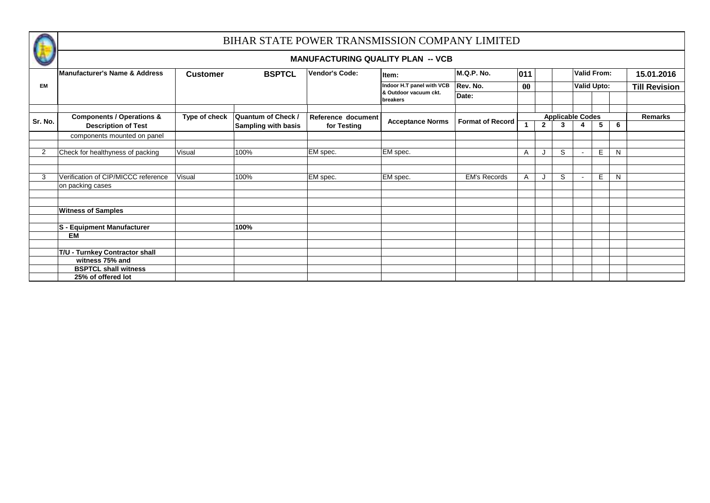

| <b>VALU</b> |                                                                    |                 |                                                         | <b>MANUFACTURING QUALITY PLAN -- VCB</b> |                           |                         |           |              |                              |                    |   |   |                      |
|-------------|--------------------------------------------------------------------|-----------------|---------------------------------------------------------|------------------------------------------|---------------------------|-------------------------|-----------|--------------|------------------------------|--------------------|---|---|----------------------|
|             | <b>Manufacturer's Name &amp; Address</b>                           | <b>Customer</b> | <b>BSPTCL</b>                                           | <b>Vendor's Code:</b>                    | Item:                     | M.Q.P. No.              | 011       |              |                              | Valid From:        |   |   | 15.01.2016           |
| <b>EM</b>   |                                                                    |                 |                                                         |                                          | Indoor H.T panel with VCB | Rev. No.                | $\bf{00}$ |              |                              | <b>Valid Upto:</b> |   |   | <b>Till Revision</b> |
|             |                                                                    |                 |                                                         | & Outdoor vacuum ckt.<br>breakers        | Date:                     |                         |           |              |                              |                    |   |   |                      |
| Sr. No.     | <b>Components / Operations &amp;</b><br><b>Description of Test</b> | Type of check   | <b>Quantum of Check /</b><br><b>Sampling with basis</b> | Reference document<br>for Testing        | <b>Acceptance Norms</b>   | <b>Format of Record</b> |           | $\mathbf{2}$ | <b>Applicable Codes</b><br>3 |                    | 5 | 6 | <b>Remarks</b>       |
|             | components mounted on panel                                        |                 |                                                         |                                          |                           |                         |           |              |                              |                    |   |   |                      |
| 2           | Check for healthyness of packing                                   | Visual          | 100%                                                    | EM spec.                                 | EM spec.                  |                         | A         |              | S                            | $\sim$             | E | N |                      |
|             |                                                                    |                 |                                                         |                                          |                           |                         |           |              |                              |                    |   |   |                      |
| 3           | Verification of CIP/MICCC reference<br>on packing cases            | Visual          | 100%                                                    | EM spec.                                 | EM spec.                  | <b>EM's Records</b>     |           |              | S                            | $\sim$             | Е | N |                      |
|             |                                                                    |                 |                                                         |                                          |                           |                         |           |              |                              |                    |   |   |                      |
|             | <b>Witness of Samples</b>                                          |                 |                                                         |                                          |                           |                         |           |              |                              |                    |   |   |                      |
|             | S - Equipment Manufacturer                                         |                 | 100%                                                    |                                          |                           |                         |           |              |                              |                    |   |   |                      |
|             | EM                                                                 |                 |                                                         |                                          |                           |                         |           |              |                              |                    |   |   |                      |
|             | T/U - Turnkey Contractor shall                                     |                 |                                                         |                                          |                           |                         |           |              |                              |                    |   |   |                      |
|             | witness 75% and                                                    |                 |                                                         |                                          |                           |                         |           |              |                              |                    |   |   |                      |
|             | <b>BSPTCL shall witness</b>                                        |                 |                                                         |                                          |                           |                         |           |              |                              |                    |   |   |                      |
|             | 25% of offered lot                                                 |                 |                                                         |                                          |                           |                         |           |              |                              |                    |   |   |                      |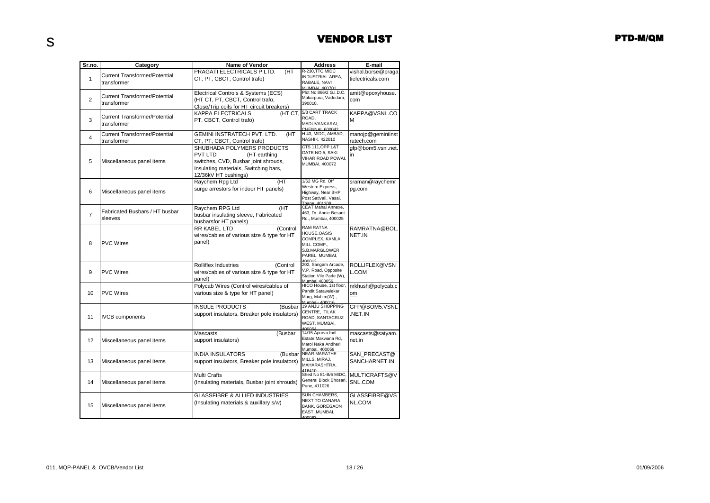| Sr.no.         | Category                             | <b>Name of Vendor</b>                        | Address                                 | E-mail                   |
|----------------|--------------------------------------|----------------------------------------------|-----------------------------------------|--------------------------|
|                |                                      | PRAGATI ELECTRICALS P LTD.<br>(HT            | R-230, TTC, MIDC                        | vishal.borse@praga       |
| $\mathbf{1}$   | <b>Current Transformer/Potential</b> | CT, PT, CBCT, Control trafo)                 | <b>INDUSTRIAL AREA,</b>                 | tielectricals.com        |
|                | transformer                          |                                              | RABALE, NAVI<br>MUMBAL 400701           |                          |
|                |                                      | Electrical Controls & Systems (ECS)          | Plot No 866/2 G.I.D.C.                  | amit@epoxyhouse.         |
| $\overline{2}$ | <b>Current Transformer/Potential</b> | (HT CT, PT, CBCT, Control trafo,             | Makarpura, Vadodara,                    | com                      |
|                | transformer                          | Close/Trip coils for HT circuit breakers)    | 390010,                                 |                          |
|                |                                      | KAPPA ELECTRICALS                            | (HT CT, 5/3 CART TRACK                  | KAPPA@VSNL.CO            |
| 3              | <b>Current Transformer/Potential</b> | PT, CBCT, Control trafo)                     | ROAD.                                   | м                        |
|                | transformer                          |                                              | MADUVANKARAI,                           |                          |
|                | <b>Current Transformer/Potential</b> | <b>GEMINI INSTRATECH PVT. LTD.</b><br>(HT    | CHENNAL 600042<br>H 43, MIDC, AMBAD,    | manojp@geminiinst        |
| $\overline{4}$ | transformer                          | CT, PT, CBCT, Control trafo)                 | NASHIK, 422010                          | ratech.com               |
|                |                                      | SHUBHADA POLYMERS PRODUCTS                   | CTS 111, OPP.L&T                        | gfp@bom5.vsnl.net.       |
|                |                                      | PVT LTD<br>(HT earthing                      | GATE NO.5, SAKI                         | in                       |
| 5              | Miscellaneous panel items            | switches, CVD, Busbar joint shrouds,         | VIHAR ROAD POWAI,                       |                          |
|                |                                      | Insulating materials, Switching bars,        | MUMBAI, 400072                          |                          |
|                |                                      | 12/36kV HT bushings)                         |                                         |                          |
|                |                                      | (HT<br>Raychem Rpg Ltd                       | 1/62 MG Rd, Off                         | sraman@raychemr          |
|                |                                      | surge arrestors for indoor HT panels)        | Western Express,                        | pg.com                   |
| 6              | Miscellaneous panel items            |                                              | Highway, Near BHP,                      |                          |
|                |                                      |                                              | Post Sativali, Vasai,<br>Thano 401208   |                          |
|                |                                      | Raychem RPG Ltd<br>(HT                       | CEAT Mahal Annexe,                      |                          |
| $\overline{7}$ | Fabricated Busbars / HT busbar       | busbar insulating sleeve, Fabricated         | 463, Dr. Annie Besant                   |                          |
|                | sleeves                              | busbarsfor HT panels)                        | Rd., Mumbai, 400025                     |                          |
|                |                                      | RR KABEL LTD<br>(Control                     | <b>RAM RATNA</b>                        | RAMRATNA@BOL             |
|                |                                      | wires/cables of various size & type for HT   | HOUSE, OASIS                            | NET.IN                   |
| 8              | <b>PVC Wires</b>                     | panel)                                       | COMPLEX, KAMLA                          |                          |
|                |                                      |                                              | MILL COMP.,<br>S.B.MARGLOWER            |                          |
|                |                                      |                                              | PAREL, MUMBAI,                          |                          |
|                |                                      | <b>Rolliflex Industries</b><br>(Control      | 10001<br>202, Sangam Arcade,            | ROLLIFLEX@VSN            |
| 9              | <b>PVC Wires</b>                     | wires/cables of various size & type for HT   | V.P. Road, Opposite                     | L.COM                    |
|                |                                      | panel)                                       | Station Vile Parle (W),                 |                          |
|                |                                      | Polycab Wires (Control wires/cables of       | Mumhai 400056<br>HICO House, 1st floor, |                          |
|                | <b>PVC Wires</b>                     |                                              | Pandit Satawalekar                      | nrkhush@polycab.c        |
| 10             |                                      | various size & type for HT panel)            | Marg, Mahim(W),                         | om                       |
|                |                                      | <b>INSULE PRODUCTS</b>                       | Mumbai- 400016<br>19 ANJU SHOPPING      |                          |
|                |                                      | (Busbar                                      | CENTRE, TILAK                           | GFP@BOM5.VSNL            |
| 11             | <b>IVCB</b> components               | support insulators, Breaker pole insulators) | ROAD, SANTACRUZ                         | NET.IN                   |
|                |                                      |                                              | WEST, MUMBAI,                           |                          |
|                |                                      | Mascasts<br>(Busbar                          | 400054<br>14/15 Apurva Indl             | mascasts@satyam.         |
| 12             | Miscellaneous panel items            | support insulators)                          | Estate Makwana Rd,                      | net.in                   |
|                |                                      |                                              | Marol Naka Andheri.                     |                          |
|                |                                      | <b>INDIA INSULATORS</b><br>(Busbar           | Mumhai 400059<br><b>NEAR MARATHE</b>    | SAN PRECAST@             |
| 13             | Miscellaneous panel items            | support insulators, Breaker pole insulators) | MILLS, MIRAJ,                           | SANCHARNET.IN            |
|                |                                      |                                              | MAHARASHTRA,                            |                          |
|                |                                      |                                              | 416410<br>Shed No 81-B/6 MIDC           |                          |
| 14             |                                      | Multi Crafts                                 | General Block Bhosari,                  | MULTICRAFTS@V<br>SNL.COM |
|                | Miscellaneous panel items            | (Insulating materials, Busbar joint shrouds) | Pune, 411026                            |                          |
|                |                                      | <b>GLASSFIBRE &amp; ALLIED INDUSTRIES</b>    | SUN CHAMBERS,                           | GLASSFIBRE@VS            |
|                |                                      |                                              | NEXT TO CANARA                          |                          |
| 15             | Miscellaneous panel items            | (Insulating materials & auxillary s/w)       | <b>BANK, GOREGAON</b>                   | NL.COM                   |
|                |                                      |                                              | EAST, MUMBAI,                           |                          |
|                |                                      |                                              | 100063                                  |                          |

s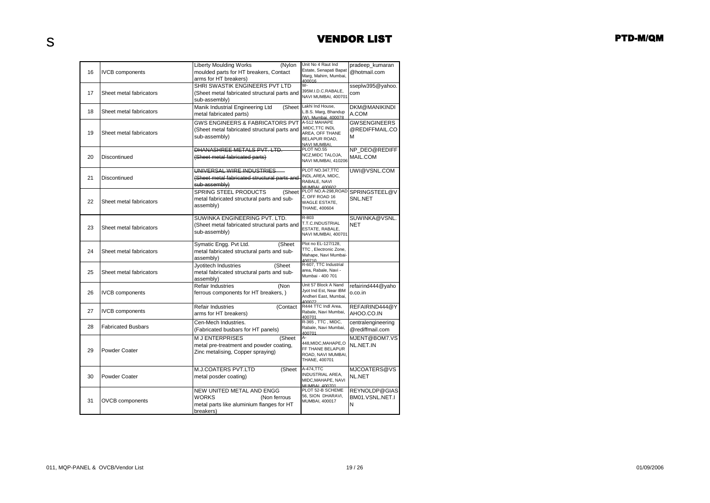|    |                           | <b>Liberty Moulding Works</b><br>(Nylon                       | Unit No 4 Raut Ind                             | pradeep_kumaran            |
|----|---------------------------|---------------------------------------------------------------|------------------------------------------------|----------------------------|
| 16 | <b>IVCB</b> components    | moulded parts for HT breakers, Contact                        | Estate, Senapati Bapat<br>Marg, Mahim, Mumbai, | @hotmail.com               |
|    |                           | arms for HT breakers)                                         | 400016                                         |                            |
|    |                           | SHRI SWASTIK ENGINEERS PVT LTD                                | w.                                             | sseplw395@yahoo.           |
| 17 | Sheet metal fabricators   | (Sheet metal fabricated structural parts and                  | 395M.I.D.C.RABALE,<br>NAVI MUMBAI, 400701      | com                        |
|    |                           | sub-assembly)                                                 |                                                |                            |
| 18 | Sheet metal fabricators   | Manik Industrial Engineering Ltd<br>(Sheet                    | Lakhi Ind House,<br>L.B.S. Marg, Bhandup       | <b>DKM@MANIKINDI</b>       |
|    |                           | metal fabricated parts)                                       | (W). Mumbai. 400078.                           | A.COM                      |
|    |                           | <b>GWS ENGINEERS &amp; FABRICATORS PVT</b>                    | A-512 MAHAPE                                   | <b>GWSENGINEERS</b>        |
| 19 | Sheet metal fabricators   | (Sheet metal fabricated structural parts and                  | ,MIDC,TTC INDL<br>AREA, OFF THANE              | @REDIFFMAIL.CO             |
|    |                           | sub-assembly)                                                 | BELAPUR ROAD,                                  | М                          |
|    |                           | DHANASHREE METALS PVT. LTD.                                   | <b>NAVI MUMBAI</b><br>PLOT NO.55               | NP DEO@REDIFF              |
| 20 | Discontinued              |                                                               | NCZ, MIDC TALOJA,                              | MAIL.COM                   |
|    |                           | (Sheet metal fabricated parts)                                | NAVI MUMBAI, 410206                            |                            |
|    |                           | UNIVERSAL WIRE INDUSTRIES                                     | PLOT NO.347, TTC                               | UWI@VSNL.COM               |
| 21 | Discontinued              | (Sheet metal fabricated structural parts and                  | INDL.AREA, MIDC,                               |                            |
|    |                           | sub-assembly)                                                 | RABALE, NAVI<br>MI IMBAL 400602                |                            |
|    |                           | <b>SPRING STEEL PRODUCTS</b><br>(Sheet                        | PLOT NO.A-298, ROAD                            | SPRINGSTEEL@V              |
| 22 | Sheet metal fabricators   | metal fabricated structural parts and sub-                    | Z. OFF ROAD 16                                 | SNL.NET                    |
|    |                           | assembly)                                                     | WAGLE ESTATE,<br>THANE, 400604                 |                            |
|    |                           | SUWINKA ENGINEERING PVT. LTD.                                 | R-803                                          |                            |
|    |                           |                                                               | T.T.C.INDUSTRIAL                               | SUWINKA@VSNL<br><b>NET</b> |
| 23 | Sheet metal fabricators   | (Sheet metal fabricated structural parts and<br>sub-assembly) | ESTATE, RABALE,                                |                            |
|    |                           |                                                               | NAVI MUMBAI, 400701                            |                            |
|    |                           | Symatic Engg. Pvt Ltd.<br>(Sheet                              | Plot no EL-127/128,                            |                            |
| 24 | Sheet metal fabricators   | metal fabricated structural parts and sub-                    | TTC, Electronic Zone,<br>Mahape, Navi Mumbai-  |                            |
|    |                           | assembly)                                                     | 400710                                         |                            |
|    |                           | Jyotitech Industries<br>(Sheet                                | R-607, TTC Industrial<br>area, Rabale, Navi -  |                            |
| 25 | Sheet metal fabricators   | metal fabricated structural parts and sub-                    | Mumbai - 400 701                               |                            |
|    |                           | assembly)<br><b>Refair Industries</b>                         | Unit 57 Block A Nand                           | refairind444@yaho          |
| 26 | <b>IVCB</b> components    | (Non<br>ferrous components for HT breakers,)                  | Jyot Ind Est, Near IBM                         | o.co.in                    |
|    |                           |                                                               | Andheri East, Mumbai,                          |                            |
|    |                           | <b>Refair Industries</b><br>(Contact                          | 400072<br>R444 TTC Indi Area,                  | REFAIRIND444@Y             |
| 27 | <b>IVCB</b> components    | arms for HT breakers)                                         | Rabale, Navi Mumbai,                           | AHOO.CO.IN                 |
|    |                           | Cen-Mech Industries.                                          | 400701<br>R-365, TTC, MIDC,                    | centralengineering         |
| 28 | <b>Fabricated Busbars</b> | (Fabricated busbars for HT panels)                            | Rabale, Navi Mumbai.                           | @rediffmail.com            |
|    |                           | <b>MJ ENTERPRISES</b><br>(Sheet                               | 400701<br>А-                                   | MJENT@BOM7.VS              |
|    |                           | metal pre-treatment and powder coating,                       | 448, MIDC, MAHAPE, O                           | NL.NET.IN                  |
| 29 | Powder Coater             | Zinc metalising, Copper spraying)                             | FF THANE BELAPUR                               |                            |
|    |                           |                                                               | ROAD, NAVI MUMBAI,<br>THANE, 400701            |                            |
|    |                           |                                                               | A-474, TTC                                     |                            |
| 30 | Powder Coater             | <b>M.J.COATERS PVT.LTD</b><br>(Sheet                          | INDUSTRIAL AREA,                               | MJCOATERS@VS<br>NL.NET     |
|    |                           | metal posder coating)                                         | MIDC, MAHAPE, NAVI                             |                            |
|    |                           | NEW UNITED METAL AND ENGG                                     | MI IMBAI 400701<br>PLOT 52-B SCHEME            | REYNOLDP@GIAS              |
|    |                           | <b>WORKS</b><br>(Non ferrous                                  | 56, SION DHARAVI,                              | BM01.VSNL.NET.I            |
| 31 | <b>OVCB</b> components    | metal parts like aluminium flanges for HT                     | MUMBAI, 400017                                 | N                          |
|    |                           | breakers)                                                     |                                                |                            |
|    |                           |                                                               |                                                |                            |

s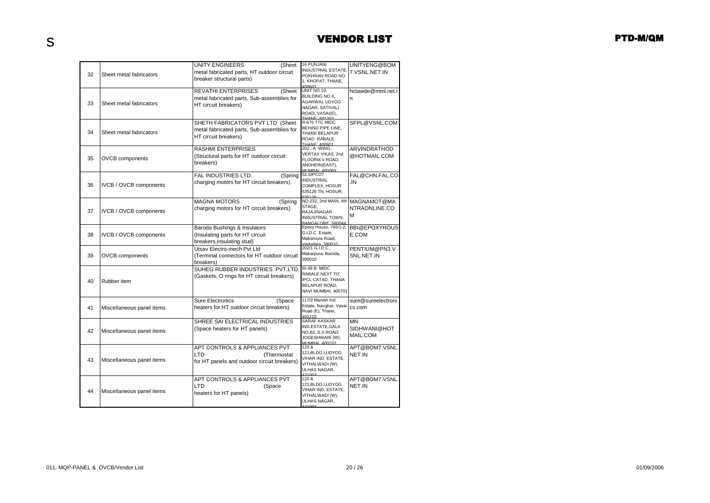|    |                           | <b>UNITY ENGINEERS</b><br>(Sheet            | <b>16 PUNJANI</b>                          | UNITYENG@BOM         |
|----|---------------------------|---------------------------------------------|--------------------------------------------|----------------------|
|    |                           | metal fabricated parts, HT outdoor circuit  | <b>INDUSTRIAL ESTATE,</b>                  | 7.VSNL.NET.IN        |
| 32 | Sheet metal fabricators   | breaker structural parts)                   | POKHRAN ROAD NO                            |                      |
|    |                           |                                             | 1, KHOPAT, THANE,<br>400601                |                      |
|    |                           | <b>REVATHI ENTERPRISES</b><br>(Sheet        | UNIT NO 10,                                | hctawde@mtnl.net.i   |
|    |                           | metal fabricated parts, Sub-assemblies for  | BUILDING NO 4,                             | n                    |
| 33 | Sheet metal fabricators   | HT circuit breakers)                        | AGARWAL UDYOG                              |                      |
|    |                           |                                             | NAGAR, SATIVALI<br>ROAD, VASAI(E),         |                      |
|    |                           |                                             | THANE 401201                               |                      |
|    |                           | SHETH FABRICATORS PVT LTD (Sheet            | R-676 TTC MIDC                             | SFPL@VSNL.COM        |
| 34 | Sheet metal fabricators   | metal fabricated parts, Sub-assemblies for  | BEHIND PIPE LINE,<br>THANE BELAPUR         |                      |
|    |                           | HT circuit breakers)                        | ROAD RABALE,                               |                      |
|    |                           |                                             | THANE 400601                               |                      |
|    |                           | <b>RASHMI ENTERPRISES</b>                   | 202, A WING,<br>VERTAX VIKAS, 2nd          | ARVINDRATHOD         |
| 35 | <b>OVCB</b> components    | (Structural parts for HT outdoor circuit    | FLOORM.V.ROAD,                             | @HOTMAIL.COM         |
|    |                           | breakers)                                   | ANDHERI(EAST),                             |                      |
|    |                           |                                             | MI IMRAI 400069                            |                      |
|    |                           | FAL INDUSTRIES LTD.<br>(Spring              | 52, SIPCOT<br><b>INDUSTRIAL</b>            | FAL@CHN.FAL.CO       |
| 36 | IVCB / OVCB components    | charging motors for HT circuit breakers)    | COMPLEX, HOSUR                             | .IN                  |
|    |                           |                                             | 635126 TN, HOSUR,                          |                      |
|    |                           | <b>MAGNA MOTORS</b><br>(Spring              | 635126<br>NO.232, 2nd MAIN, 4th            | MAGNAMOT@MA          |
|    |                           | charging motors for HT circuit breakers)    | STAGE,                                     | NTRAONLINE.CO        |
| 37 | IVCB / OVCB components    |                                             | RAJAJINAGAR                                | М                    |
|    |                           |                                             | <b>INDUSTRIAL TOWN.</b>                    |                      |
|    |                           | Baroda Bushings & Insulators                | BANGALORE 560044<br>Epoxy House, 745/1-2,  | <b>BBI@EPOXYHOUS</b> |
| 38 | IVCB / OVCB components    | (Insulating parts for HT circuit            | G.I.D.C. Estate,                           | E.COM                |
|    |                           | breakers, insulating stud)                  | Makaroura Road,                            |                      |
|    |                           | Utsav Electro-mech Pvt Ltd                  | Vadodara 390010<br>202/1 G.I.D.C.,         | PENTIUM@PN3.V        |
| 39 | <b>OVCB</b> components    | (Terminal connectors for HT outdoor circuit | Makarpura, Baroda,                         | SNL.NET.IN           |
|    |                           | breakers)                                   | 390010                                     |                      |
|    |                           | SUHEG RUBBER INDUSTRIES PVT.LTD.            | W-49 B MIDC                                |                      |
|    |                           | (Gaskets, O rings for HT circuit breakers)  | RABALE NEXT TO                             |                      |
| 40 | Rubber item               |                                             | IPCL CATAD, THANA                          |                      |
|    |                           |                                             | BELAPUR ROAD,                              |                      |
|    |                           |                                             | NAVI MUMBAI, 400701                        |                      |
|    |                           | <b>Sure Electronics</b><br>(Space           | 117/2 Manish Ind                           | sure@sureelectroni   |
| 41 | Miscellaneous panel items | heaters for HT outdoor circuit breakers)    | Estate, Navghar, Vasai<br>Road (E), Thane, | cs.com               |
|    |                           |                                             | 401210                                     |                      |
|    |                           | SHREE SAI ELECTRICAL INDUSTRIES             | SARAF KASKAR                               | MΝ                   |
| 42 | Miscellaneous panel items | (Space heaters for HT panels)               | IND.ESTATE,GALA<br>NO.B2, S.V.ROAD         | SIDHWANI@HOT         |
|    |                           |                                             | JOGESHWARI (W),                            | MAIL.COM             |
|    |                           |                                             | MLIMBAL 400102                             |                      |
|    |                           | APT CONTROLS & APPLIANCES PVT               | 120 &<br>121, BLDG.I, UDYOG                | APT@BOM7.VSNL        |
| 43 | Miscellaneous panel items | LTD<br>(Thermostat                          | VIHAR IND. ESTATE,                         | NET.IN               |
|    |                           | for HT panels and outdoor circuit breakers) | VITHALWADI (W),                            |                      |
|    |                           |                                             | ULHAS NAGAR,                               |                      |
|    |                           | APT CONTROLS & APPLIANCES PVT               | 421003<br>120 &                            | APT@BOM7.VSNL        |
|    |                           | LTD<br>(Space                               | 121, BLDG.I, UDYOG                         | NET.IN               |
| 44 | Miscellaneous panel items | heaters for HT panels)                      | VIHAR IND. ESTATE,                         |                      |
|    |                           |                                             | VITHALWADI (W),                            |                      |
|    |                           |                                             | ULHAS NAGAR,<br>121002                     |                      |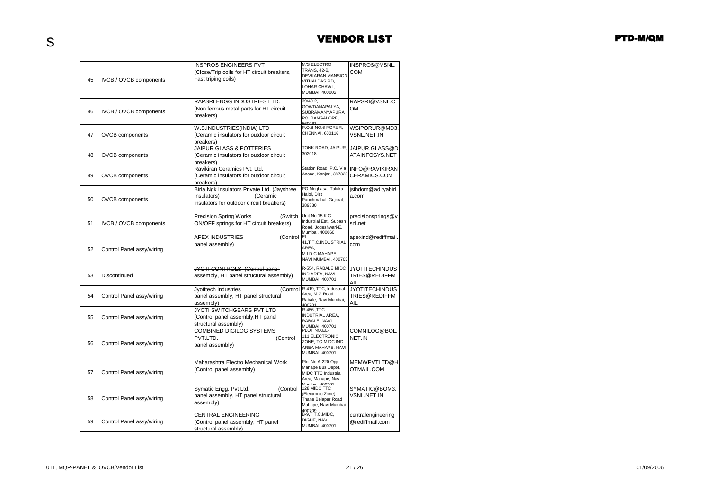| 45 | IVCB / OVCB components        | <b>INSPROS ENGINEERS PVT</b><br>(Close/Trip coils for HT circuit breakers,<br>Fast triping coils)                  | <b>M/S ELECTRO</b><br>TRANS, 42-B,<br><b>DEVKARAN MANSION</b><br>VITHALDAS RD,<br>LOHAR CHAWL,<br>MUMBAI, 400002 | INSPROS@VSNL.<br>COM                          |
|----|-------------------------------|--------------------------------------------------------------------------------------------------------------------|------------------------------------------------------------------------------------------------------------------|-----------------------------------------------|
| 46 | <b>IVCB / OVCB components</b> | RAPSRI ENGG INDUSTRIES LTD.<br>(Non ferrous metal parts for HT circuit<br>breakers)                                | 39/40-2,<br>GOWDANAPALYA,<br>SUBRAMANYAPURA<br>PO, BANGALORE,<br>560061                                          | RAPSRI@VSNL.C<br>OМ                           |
| 47 | <b>OVCB</b> components        | W.S.INDUSTRIES(INDIA) LTD<br>(Ceramic insulators for outdoor circuit<br>breakers)                                  | P.O.B NO.6 PORUR,<br>CHENNAI, 600116                                                                             | WSIPORUR@MD3.<br>VSNL.NET.IN                  |
| 48 | <b>OVCB</b> components        | <b>JAIPUR GLASS &amp; POTTERIES</b><br>(Ceramic insulators for outdoor circuit<br>breakers)                        | TONK ROAD, JAIPUR,<br>302018                                                                                     | JAIPUR.GLASS@D<br>ATAINFOSYS.NET              |
| 49 | <b>OVCB</b> components        | Ravikiran Ceramics Pvt. Ltd.<br>(Ceramic insulators for outdoor circuit<br>breakers)                               | Station Road, P.O. Via<br>Anand, Kanjari, 387325                                                                 | <b>INFO@RAVIKIRAN</b><br>CERAMICS.COM         |
| 50 | <b>OVCB</b> components        | Birla Ngk Insulators Private Ltd. (Jayshree<br>(Ceramic<br>Insulators)<br>insulators for outdoor circuit breakers) | PO Meghasar Taluka<br>Halol, Dist<br>Panchmahal, Gujarat,<br>389330                                              | jsihdom@adityabirl<br>a.com                   |
| 51 | <b>IVCB / OVCB components</b> | <b>Precision Spring Works</b><br>(Switch<br>ON/OFF springs for HT circuit breakers)                                | Unit No 15 K C<br>Industrial Est., Subash<br>Road, Jogeshwari-E,<br>Mumbai 400060                                | precisionsprings@v<br>snl.net                 |
| 52 | Control Panel assy/wiring     | <b>APEX INDUSTRIES</b><br>(Control<br>panel assembly)                                                              | <b>EL</b><br>41,T.T.C.INDUSTRIAL<br>AREA,<br>M.I.D.C.MAHAPE,<br>NAVI MUMBAI, 400705                              | apexind@rediffmail.<br>com                    |
| 53 | Discontinued                  | JYOTI CONTROLS (Control panel-<br>assembly, HT panel structural assembly)                                          | R-554, RABALE MIDC<br>IND AREA, NAVI<br>MUMBAI, 400701                                                           | <b>JYOTITECHINDUS</b><br>TRIES@REDIFFM<br>AIL |
| 54 | Control Panel assy/wiring     | Jyotitech Industries<br>panel assembly, HT panel structural<br>assembly)                                           | (Control R-419, TTC, Industrial<br>Area, M G Road,<br>Rabale, Navi Mumbai,<br>400701                             | <b>JYOTITECHINDUS</b><br>TRIES@REDIFFM<br>AIL |
| 55 | Control Panel assy/wiring     | JYOTI SWITCHGEARS PVT LTD<br>(Control panel assembly, HT panel<br>structural assembly)                             | R-456, TTC<br>INDUTRIAL AREA,<br>RABALE, NAVI<br>MLIMBAL 400701                                                  |                                               |
| 56 | Control Panel assy/wiring     | COMBINED DIGILOG SYSTEMS<br>PVT.LTD.<br>(Control<br>panel assembly)                                                | PLOT NO.EL-<br>111, ELECTRONIC<br>ZONE, TC-MIDC IND<br>AREA MAHAPE, NAVI<br>MUMBAI, 400701                       | COMNILOG@BOL<br>NET.IN                        |
| 57 | Control Panel assy/wiring     | Maharashtra Electro Mechanical Work<br>(Control panel assembly)                                                    | Plot No A-220 Opp<br>Mahape Bus Depot,<br><b>MIDC TTC Industrial</b><br>Area, Mahape, Navi<br>Mumhai 400701      | MEMWPVTLTD@H<br>OTMAIL.COM                    |
| 58 | Control Panel assy/wiring     | Symatic Engg. Pvt Ltd.<br>(Control<br>panel assembly, HT panel structural<br>assembly)                             | 128 MIDC TTC<br>(Electronic Zone),<br>Thane Belapur Road<br>Mahape, Navi Mumbai,<br>400709                       | SYMATIC@BOM3.<br>VSNL.NET.IN                  |
| 59 | Control Panel assy/wiring     | CENTRAL ENGINEERING<br>(Control panel assembly, HT panel<br>structural assembly)                                   | B-9,T.T.C.MIDC,<br>DIGHE, NAVI<br>MUMBAI, 400701                                                                 | centralengineering<br>@rediffmail.com         |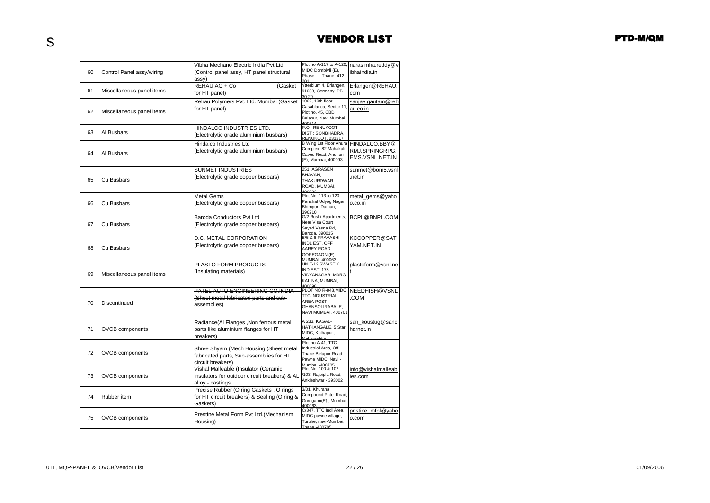|    |                           | Vibha Mechano Electric India Pvt Ltd          | Plot no A-117 to A-120,                     | narasimha.reddy@v  |
|----|---------------------------|-----------------------------------------------|---------------------------------------------|--------------------|
| 60 | Control Panel assy/wiring | (Control panel assy, HT panel structural      | MIDC Dombivli (E),<br>Phase - I, Thane -412 | ibhaindia.in       |
|    |                           | assy)                                         | 201                                         |                    |
|    |                           | REHAU AG + Co<br>(Gasket                      | Ytterbium 4, Erlangen,                      | Erlangen@REHAU.    |
| 61 | Miscellaneous panel items | for HT panel)                                 | 91058, Germany, PB                          | com                |
|    |                           | Rehau Polymers Pvt. Ltd. Mumbai (Gasket       | 30 29<br>1002, 10th floor,                  | sanjay.gautam@reh  |
|    |                           |                                               | Casablanca, Sector 11,                      |                    |
| 62 | Miscellaneous panel items | for HT panel)                                 | Plot no. 45, CBD                            | <u>au.co.in</u>    |
|    |                           |                                               | Belapur, Navi Mumbai,                       |                    |
|    |                           |                                               | 400614                                      |                    |
| 63 | Al Busbars                | HINDALCO INDUSTRIES LTD.                      | P.O RENUKOOT,<br>DIST: SONBHADRA.           |                    |
|    |                           | (Electrolytic grade aluminium busbars)        | RENUKOOT. 231217                            |                    |
|    |                           | Hindalco Industries Ltd                       | B Wing 1st Floor Ahura                      | HINDALCO.BBY@      |
|    |                           | (Electrolytic grade aluminium busbars)        | Complex, 82 Mahakali                        | RMJ.SPRINGRPG.     |
| 64 | Al Busbars                |                                               | Caves Road, Andheri                         | EMS.VSNL.NET.IN    |
|    |                           |                                               | (E), Mumbai, 400093                         |                    |
|    |                           | SUNMET INDUSTRIES                             | 251, AGRASEN                                | sunmet@bom5.vsnl   |
|    |                           | (Electrolytic grade copper busbars)           | BHAVAN,                                     | .net.in            |
| 65 | Cu Busbars                |                                               | THAKURDWAR                                  |                    |
|    |                           |                                               | ROAD, MUMBAI,                               |                    |
|    |                           | <b>Metal Gems</b>                             | 400002<br>Plot No. 113 to 120,              | metal_gems@yaho    |
| 66 | Cu Busbars                | (Electrolytic grade copper busbars)           | Panchal Udyog Nagar                         | o.co.in            |
|    |                           |                                               | Bhimpur, Daman,                             |                    |
|    |                           |                                               | 396210                                      |                    |
|    |                           | <b>Baroda Conductors Pvt Ltd</b>              | G/2 Rushi Apartments,                       | BCPL@BNPL.COM      |
| 67 | Cu Busbars                | (Electrolytic grade copper busbars)           | Near Visa Court<br>Sayed Vasna Rd,          |                    |
|    |                           |                                               | Baroda, 390015                              |                    |
|    |                           | D.C. METAL CORPORATION                        | B/5 & 6, PRAVASHI                           | KCCOPPER@SAT       |
|    |                           | (Electrolytic grade copper busbars)           | INDL EST. OFF                               | YAM.NET.IN         |
| 68 | Cu Busbars                |                                               | AAREY ROAD                                  |                    |
|    |                           |                                               | GOREGAON (E),<br>MLIMBAL 400063             |                    |
|    |                           | PLASTO FORM PRODUCTS                          | UNIT-12 SWASTIK                             | plastoform@vsnl.ne |
|    |                           | (Insulating materials)                        | <b>IND EST, 178</b>                         |                    |
| 69 | Miscellaneous panel items |                                               | VIDYANAGARI MARG                            |                    |
|    |                           |                                               | KALINA, MUMBAI,                             |                    |
|    |                           | PATEL AUTO ENGINEERING CO.INDIA               | 400098<br>PLOT NO R-848, MIDC               | NEEDHISH@VSNL      |
|    |                           | (Sheet metal fabricated parts and sub-        | TTC INDUSTRIAL,                             | COM                |
| 70 | Discontinued              |                                               | <b>AREA POST</b>                            |                    |
|    |                           | assemblies)                                   | GHANSOLIRABALE,                             |                    |
|    |                           |                                               | NAVI MUMBAI, 400701                         |                    |
|    |                           | Radiance(Al Flanges, Non ferrous metal        | A 233, KAGAL-                               | san koustug@sanc   |
| 71 | <b>OVCB</b> components    | parts like aluminium flanges for HT           | HATKANGALE, 5 Star                          | harnet.in          |
|    |                           | breakers)                                     | MIDC, Kolhapur,                             |                    |
|    |                           |                                               | Maharashtra                                 |                    |
|    |                           | Shree Shyam (Mech Housing (Sheet metal        | Plot no A-41, TTC<br>Industrial Area, Off   |                    |
| 72 | <b>OVCB</b> components    |                                               | Thane Belapur Road,                         |                    |
|    |                           | fabricated parts, Sub-assemblies for HT       | Pawne MIDC, Navi -                          |                    |
|    |                           | circuit breakers)                             | Mumhai .400705                              |                    |
|    |                           | Vishal Malleable (Insulator (Ceramic          | Plot No: 100 & 102                          | info@vishalmalleab |
| 73 | <b>OVCB</b> components    | insulators for outdoor circuit breakers) & AL | /103, Rajpipla Road,<br>Ankleshwar - 393002 | les.com            |
|    |                           | alloy - castings                              |                                             |                    |
|    |                           | Precise Rubber (O ring Gaskets, O rings       | 3/01, Khurana                               |                    |
| 74 | Rubber item               | for HT circuit breakers) & Sealing (O ring &  | Compound, Patel Road,                       |                    |
|    |                           | Gaskets)                                      | Goregaon(E), Mumbai-                        |                    |
|    |                           |                                               | 400063<br>C/347, TTC Indl Area,             | pristine mfpl@yaho |
| 75 |                           | Prestine Metal Form Pvt Ltd.(Mechanism        | MIDC pawne village,                         |                    |
|    | <b>OVCB</b> components    | Housing)                                      | Turbhe, navi-Mumbai,                        | o.com              |
|    |                           |                                               | Thane -400705                               |                    |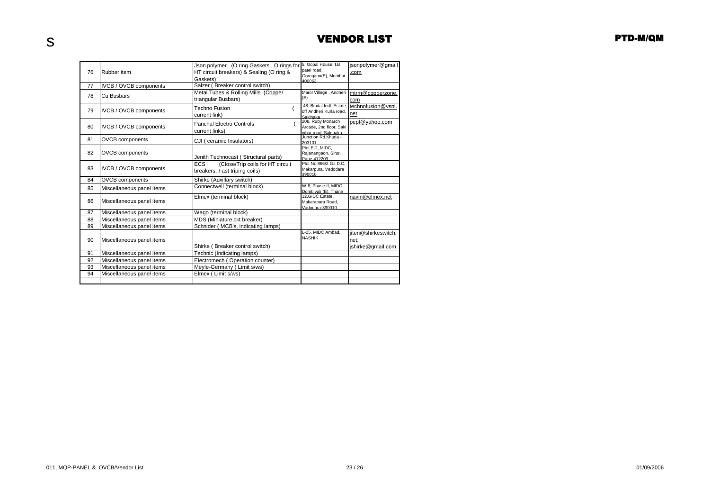|    |                               | Json polymer (O ring Gaskets, O rings for      | 5, Gopal House, I.B<br>patel road.           | isonpolymer@gmail   |
|----|-------------------------------|------------------------------------------------|----------------------------------------------|---------------------|
| 76 | Rubber item                   | HT circuit breakers) & Sealing (O ring &       | Goregaon(E), Mumbai-                         | .com                |
|    |                               | Gaskets)                                       | <b>23000A</b>                                |                     |
| 77 | <b>IVCB / OVCB components</b> | Salzer (Breaker control switch)                |                                              |                     |
| 78 | Cu Busbars                    | Metal Tubes & Rolling Mills (Copper            | Marol Village, Andheri                       | mtrm@copperzone.    |
|    |                               | triangular Busbars)                            | (E)                                          | com                 |
| 79 | IVCB / OVCB components        | <b>Techno Fusion</b>                           | 48. Bindal Indl. Estate                      | technofusion@vsnl.  |
|    |                               | current link)                                  | off Andheri Kurla road.<br>Sakinaka          | net                 |
|    |                               | Panchal Electro Controls                       | 208, Ruby Monarch                            | pepl@yahoo.com      |
| 80 | <b>IVCB / OVCB components</b> | current links)                                 | Arcade, 2nd floor, Saki                      |                     |
|    |                               |                                                | vihar road. Sakinaka<br>Junction Rd.Khurja - |                     |
| 81 | <b>OVCB</b> components        | CJI (ceramic Insulators)                       | 203131                                       |                     |
|    |                               |                                                | Plot E-2, MIDC.                              |                     |
| 82 | <b>OVCB</b> components        | Jenith Technocast (Structural parts)           | Rajanangaon, Sirur,<br>Pune-412209           |                     |
|    |                               | <b>ECS</b><br>(Close/Trip coils for HT circuit | Plot No 866/2 G.I.D.C.                       |                     |
| 83 | IVCB / OVCB components        | breakers, Fast triping coils)                  | Makarpura, Vadodara                          |                     |
|    |                               |                                                | 390010                                       |                     |
| 84 | <b>OVCB</b> components        | Shirke (Auxillary switch)                      | W-6, Phase-II, MIDC,                         |                     |
| 85 | Miscellaneous panel items     | Connectwell (terminal block)                   | Dombivali (E), Thane                         |                     |
|    |                               | Elmex (terminal block)                         | 12, GIDC Estate,                             | navin@elmex.net     |
| 86 | Miscellaneous panel items     |                                                | Makarapura Road,                             |                     |
| 87 | Miscellaneous panel items     | Wago (terminal block)                          | Vadodara-390010                              |                     |
| 88 | Miscellaneous panel items     | MDS (Miniature ckt breaker)                    |                                              |                     |
| 89 | Miscellaneous panel items     | Schnider (MCB's, indicating lamps)             |                                              |                     |
|    |                               |                                                | L-25, MIDC Ambad,                            | iiten@shirkeswitch. |
|    |                               |                                                | <b>NASHIK</b>                                |                     |
| 90 | Miscellaneous panel items     |                                                |                                              | net:                |
|    |                               | Shirke (Breaker control switch)                |                                              | jshirke@gmail.com   |
| 91 | Miscellaneous panel items     | Technic (Indicating lamps)                     |                                              |                     |
| 92 | Miscellaneous panel items     | Electromech (Operation counter)                |                                              |                     |
| 93 | Miscellaneous panel items     | Meyle-Germany (Limit s/ws)                     |                                              |                     |
| 94 | Miscellaneous panel items     | Elmex (Limit s/ws)                             |                                              |                     |
|    |                               |                                                |                                              |                     |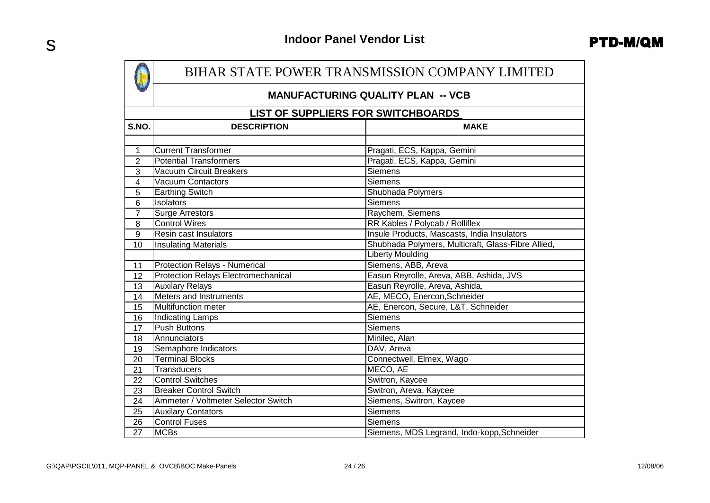|                 | BIHAR STATE POWER TRANSMISSION COMPANY LIMITED |                                                    |  |  |  |
|-----------------|------------------------------------------------|----------------------------------------------------|--|--|--|
|                 |                                                | <b>MANUFACTURING QUALITY PLAN -- VCB</b>           |  |  |  |
|                 | <b>LIST OF SUPPLIERS FOR SWITCHBOARDS</b>      |                                                    |  |  |  |
| S.NO.           | <b>DESCRIPTION</b>                             | <b>MAKE</b>                                        |  |  |  |
|                 |                                                |                                                    |  |  |  |
| 1               | <b>Current Transformer</b>                     | Pragati, ECS, Kappa, Gemini                        |  |  |  |
| $\overline{2}$  | <b>Potential Transformers</b>                  | Pragati, ECS, Kappa, Gemini                        |  |  |  |
| $\overline{3}$  | <b>Vacuum Circuit Breakers</b>                 | <b>Siemens</b>                                     |  |  |  |
| $\overline{4}$  | <b>Vacuum Contactors</b>                       | <b>Siemens</b>                                     |  |  |  |
| 5               | <b>Earthing Switch</b>                         | Shubhada Polymers                                  |  |  |  |
| 6               | Isolators                                      | <b>Siemens</b>                                     |  |  |  |
| $\overline{7}$  | Surge Arrestors                                | Raychem, Siemens                                   |  |  |  |
| 8               | <b>Control Wires</b>                           | RR Kables / Polycab / Rolliflex                    |  |  |  |
| $\overline{9}$  | Resin cast Insulators                          | Insule Products, Mascasts, India Insulators        |  |  |  |
| 10              | <b>Insulating Materials</b>                    | Shubhada Polymers, Multicraft, Glass-Fibre Allied, |  |  |  |
|                 |                                                | <b>Liberty Moulding</b>                            |  |  |  |
| 11              | Protection Relays - Numerical                  | Siemens, ABB, Areva                                |  |  |  |
| 12              | <b>Protection Relays Electromechanical</b>     | Easun Reyrolle, Areva, ABB, Ashida, JVS            |  |  |  |
| 13              | <b>Auxilary Relays</b>                         | Easun Reyrolle, Areva, Ashida,                     |  |  |  |
| 14              | Meters and Instruments                         | AE, MECO, Enercon, Schneider                       |  |  |  |
| 15              | Multifunction meter                            | AE, Enercon, Secure, L&T, Schneider                |  |  |  |
| 16              | <b>Indicating Lamps</b>                        | <b>Siemens</b>                                     |  |  |  |
| 17              | <b>Push Buttons</b>                            | <b>Siemens</b>                                     |  |  |  |
| 18              | Annunciators                                   | Minilec, Alan                                      |  |  |  |
| 19              | Semaphore Indicators                           | DAV, Areva                                         |  |  |  |
| 20              | <b>Terminal Blocks</b>                         | Connectwell, Elmex, Wago                           |  |  |  |
| 21              | <b>Transducers</b>                             | MECO, AE                                           |  |  |  |
| 22              | <b>Control Switches</b>                        | Switron, Kaycee                                    |  |  |  |
| 23              | <b>Breaker Control Switch</b>                  | Switron, Areva, Kaycee                             |  |  |  |
| 24              | Ammeter / Voltmeter Selector Switch            | Siemens, Switron, Kaycee                           |  |  |  |
| 25              | <b>Auxilary Contators</b>                      | Siemens                                            |  |  |  |
| $\overline{26}$ | <b>Control Fuses</b>                           | <b>Siemens</b>                                     |  |  |  |
| 27              | <b>MCBs</b>                                    | Siemens, MDS Legrand, Indo-kopp, Schneider         |  |  |  |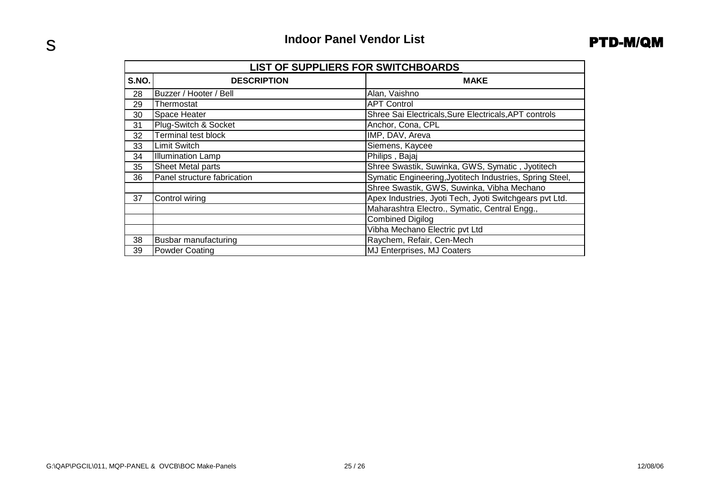|       | <b>LIST OF SUPPLIERS FOR SWITCHBOARDS</b> |                                                          |  |  |  |
|-------|-------------------------------------------|----------------------------------------------------------|--|--|--|
| S.NO. | <b>DESCRIPTION</b>                        | <b>MAKE</b>                                              |  |  |  |
| 28    | Buzzer / Hooter / Bell                    | Alan, Vaishno                                            |  |  |  |
| 29    | Thermostat                                | <b>APT Control</b>                                       |  |  |  |
| 30    | Space Heater                              | Shree Sai Electricals, Sure Electricals, APT controls    |  |  |  |
| 31    | Plug-Switch & Socket                      | Anchor, Cona, CPL                                        |  |  |  |
| 32    | <b>Terminal test block</b>                | IMP, DAV, Areva                                          |  |  |  |
| 33    | <b>Limit Switch</b>                       | Siemens, Kaycee                                          |  |  |  |
| 34    | <b>Illumination Lamp</b>                  | Philips, Bajaj                                           |  |  |  |
| 35    | <b>Sheet Metal parts</b>                  | Shree Swastik, Suwinka, GWS, Symatic, Jyotitech          |  |  |  |
| 36    | Panel structure fabrication               | Symatic Engineering, Jyotitech Industries, Spring Steel, |  |  |  |
|       |                                           | Shree Swastik, GWS, Suwinka, Vibha Mechano               |  |  |  |
| 37    | Control wiring                            | Apex Industries, Jyoti Tech, Jyoti Switchgears pvt Ltd.  |  |  |  |
|       |                                           | Maharashtra Electro., Symatic, Central Engg.,            |  |  |  |
|       |                                           | <b>Combined Digilog</b>                                  |  |  |  |
|       |                                           | Vibha Mechano Electric pvt Ltd                           |  |  |  |
| 38    | Busbar manufacturing                      | Raychem, Refair, Cen-Mech                                |  |  |  |
| 39    | <b>Powder Coating</b>                     | MJ Enterprises, MJ Coaters                               |  |  |  |